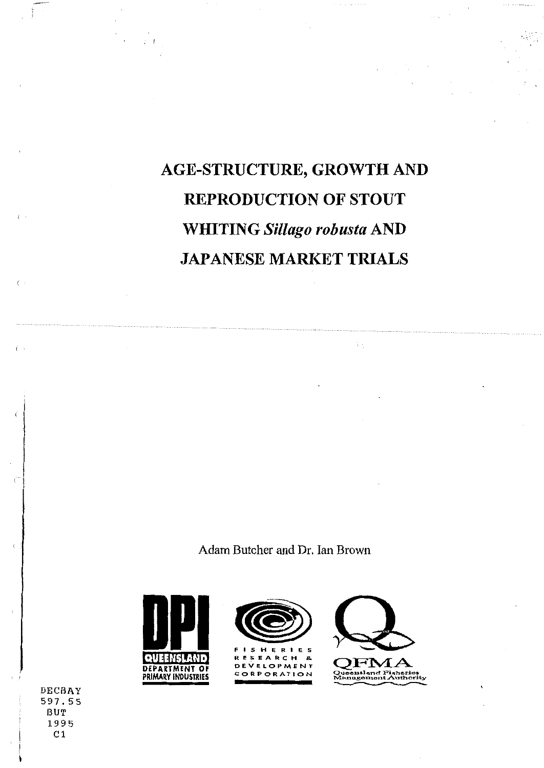# AGE-STRUCTURE, GROWTH AND REPRODUCTION OF STOUT WHITING *Sillago robusta* AND JAPANESE MARKET TRIALS

 $\langle \cdot, \cdot \rangle$ 

 $\Delta \sim 10^4$ 

Adam Butcher and Dr. Ian Brown



 $\ddot{\epsilon} = \ddot{\epsilon} t$ 





 $\tilde{\epsilon}$  :

DECBAY 597. 5 5 BUT 1995 C<sub>1</sub>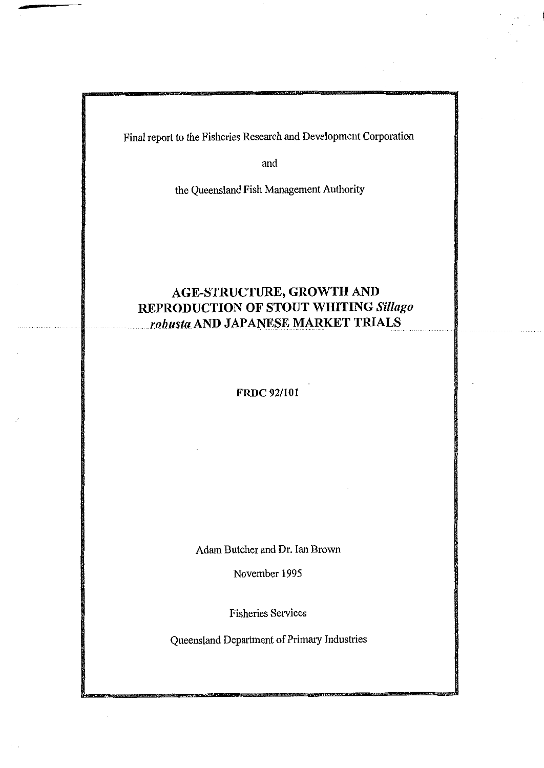Final report to the Fisheries Research and Development Corporation

and

the Queensland Fish Management Authority

# **AGE-STRUCTURE, GROWTH AND REPRODUCTION OF STOUT WHITING** *Sil/ago robusta* **AND JAPANESE MARKET TRIALS**

# **FRDC92/101**

Adam Butcher and Dr. Ian Brown

November 1995

Fisheries Services

Queensland Department of Primary Industries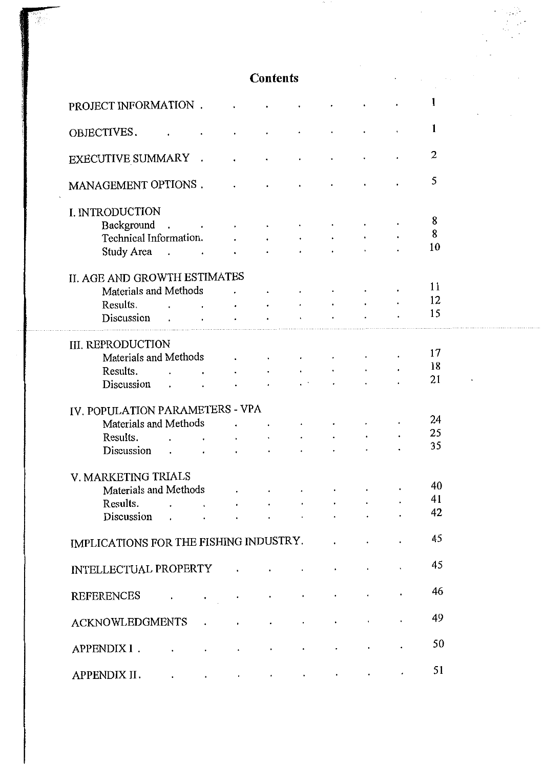# **Contents**

 $\mathcal{L}^{\mathcal{L}}$ 

 $\cdot$ 

. . .

 $\sim 10^7$ 

B.

| PROJECT INFORMATION.                   |                                                                                                                                                                                                                                  |                                   |                           |                                  |  |  | 1  |
|----------------------------------------|----------------------------------------------------------------------------------------------------------------------------------------------------------------------------------------------------------------------------------|-----------------------------------|---------------------------|----------------------------------|--|--|----|
|                                        |                                                                                                                                                                                                                                  |                                   |                           |                                  |  |  | 1  |
| OBJECTIVES.                            |                                                                                                                                                                                                                                  |                                   |                           |                                  |  |  |    |
| EXECUTIVE SUMMARY                      |                                                                                                                                                                                                                                  | $\mathcal{L}_{\mathcal{A}}$       |                           |                                  |  |  | 2  |
| MANAGEMENT OPTIONS.                    |                                                                                                                                                                                                                                  |                                   |                           |                                  |  |  | 5  |
| I. INTRODUCTION                        |                                                                                                                                                                                                                                  |                                   |                           |                                  |  |  |    |
| Background.                            | <b>Contract Contract</b>                                                                                                                                                                                                         |                                   |                           |                                  |  |  | 8  |
| Technical Information.                 |                                                                                                                                                                                                                                  |                                   | $\cdot$                   | $\bullet$ . The set of $\bullet$ |  |  | 8  |
| Study Area.                            |                                                                                                                                                                                                                                  | $\blacksquare$                    | $\bullet$                 |                                  |  |  | 10 |
|                                        |                                                                                                                                                                                                                                  |                                   |                           |                                  |  |  |    |
| II. AGE AND GROWTH ESTIMATES           |                                                                                                                                                                                                                                  |                                   |                           |                                  |  |  |    |
| Materials and Methods                  |                                                                                                                                                                                                                                  |                                   |                           |                                  |  |  | 11 |
| Results.                               | $\mathbf{r}$ , and the set of the set of the set of the set of the set of the set of the set of the set of the set of the set of the set of the set of the set of the set of the set of the set of the set of the set of the set |                                   | <b>All Contracts</b>      |                                  |  |  | 12 |
| Discussion                             |                                                                                                                                                                                                                                  |                                   |                           |                                  |  |  | 15 |
|                                        |                                                                                                                                                                                                                                  |                                   |                           |                                  |  |  |    |
| <b>III. REPRODUCTION</b>               |                                                                                                                                                                                                                                  |                                   |                           |                                  |  |  |    |
| Materials and Methods                  |                                                                                                                                                                                                                                  |                                   | $\mathbf{A}^{\text{max}}$ | $\bullet$                        |  |  | 17 |
| Results.                               |                                                                                                                                                                                                                                  |                                   | $\sim 100$                |                                  |  |  | 18 |
| Discussion                             | $\sim$                                                                                                                                                                                                                           |                                   |                           |                                  |  |  | 21 |
|                                        | $\sim$ 100 $\mu$                                                                                                                                                                                                                 | $\bullet$                         | $\bullet$                 |                                  |  |  |    |
| IV. POPULATION PARAMETERS - VPA        |                                                                                                                                                                                                                                  |                                   |                           |                                  |  |  |    |
| Materials and Methods                  |                                                                                                                                                                                                                                  |                                   |                           | $\bullet$                        |  |  | 24 |
|                                        |                                                                                                                                                                                                                                  |                                   | $\epsilon$                |                                  |  |  | 25 |
| Results.                               | $\sim$ $\sim$                                                                                                                                                                                                                    | $\ddot{\phantom{0}}$              | $\bullet$                 |                                  |  |  | 35 |
| Discussion                             | $\mathbf{r}$ , and the set of the set of the set of the set of the set of the set of the set of the set of the set of the set of the set of the set of the set of the set of the set of the set of the set of the set of the set |                                   | $\sim 100$ km $^{-1}$     |                                  |  |  |    |
| V. MARKETING TRIALS                    |                                                                                                                                                                                                                                  |                                   |                           |                                  |  |  |    |
| Materials and Methods                  |                                                                                                                                                                                                                                  |                                   |                           |                                  |  |  | 40 |
| Results.                               |                                                                                                                                                                                                                                  |                                   |                           |                                  |  |  | 41 |
| Discussion                             |                                                                                                                                                                                                                                  |                                   |                           | $\bullet$                        |  |  | 42 |
|                                        |                                                                                                                                                                                                                                  |                                   |                           |                                  |  |  |    |
| IMPLICATIONS FOR THE FISHING INDUSTRY. |                                                                                                                                                                                                                                  |                                   |                           |                                  |  |  | 45 |
| INTELLECTUAL PROPERTY .                |                                                                                                                                                                                                                                  |                                   |                           |                                  |  |  | 45 |
| REFERENCES                             |                                                                                                                                                                                                                                  |                                   |                           |                                  |  |  | 46 |
| <b>ACKNOWLEDGMENTS</b>                 |                                                                                                                                                                                                                                  |                                   |                           |                                  |  |  | 49 |
| APPENDIX I.                            |                                                                                                                                                                                                                                  |                                   |                           |                                  |  |  | 50 |
| APPENDIX II .                          |                                                                                                                                                                                                                                  | and the company of the company of |                           |                                  |  |  | 51 |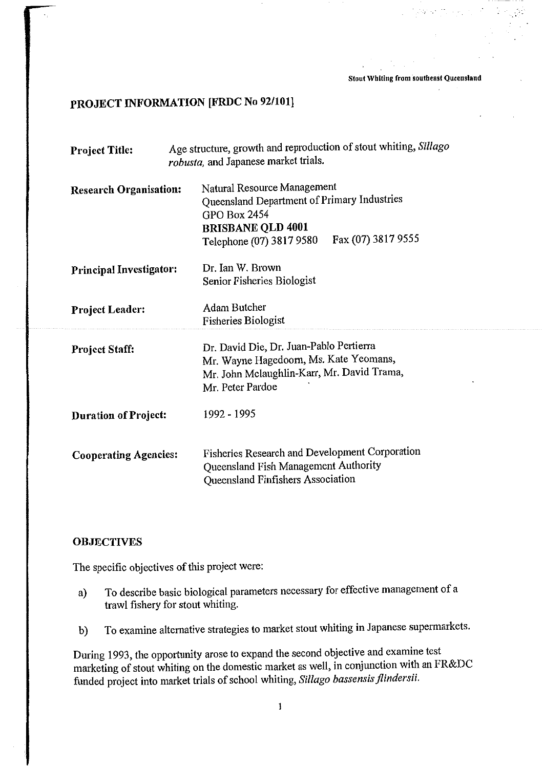**Stout Whiting from southeast Queensland** 

# **PROJECT INFORMATION [FRDC No 92/101]**

| <b>Project Title:</b>          | Age structure, growth and reproduction of stout whiting, Sillago<br>robusta, and Japanese market trials.                                                                        |
|--------------------------------|---------------------------------------------------------------------------------------------------------------------------------------------------------------------------------|
| <b>Research Organisation:</b>  | Natural Resource Management<br>Queensland Department of Primary Industries<br><b>GPO Box 2454</b><br><b>BRISBANE QLD 4001</b><br>Fax (07) 3817 9555<br>Telephone (07) 3817 9580 |
| <b>Principal Investigator:</b> | Dr. Ian W. Brown<br>Senior Fisheries Biologist                                                                                                                                  |
| <b>Project Leader:</b>         | <b>Adam Butcher</b><br><b>Fisheries Biologist</b>                                                                                                                               |
| <b>Project Staff:</b>          | Dr. David Die, Dr. Juan-Pablo Pertierra<br>Mr. Wayne Hagedoorn, Ms. Kate Yeomans,<br>Mr. John Mclaughlin-Karr, Mr. David Trama,<br>Mr. Peter Pardoe                             |
| <b>Duration of Project:</b>    | 1992 - 1995                                                                                                                                                                     |
| <b>Cooperating Agencies:</b>   | Fisheries Research and Development Corporation<br>Queensland Fish Management Authority<br>Queensland Finfishers Association                                                     |

# **OBJECTIVES**

The specific objectives of this project were:

- a) To describe basic biological parameters necessary for effective management of a trawl fishery for stout whiting.
- b) To examine alternative strategies to market stout whiting in Japanese supermarkets.

During 1993, the opportunity arose to expand the second objective and examine test marketing of stout whiting on the domestic market as well, in conjunction with an FR&DC funded project into market trials of school whiting, *Silla go bassensis jlindersii.*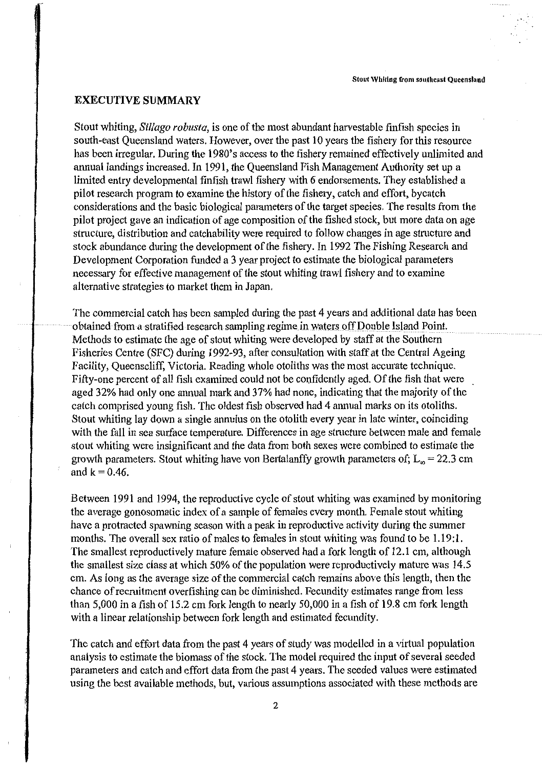# **EXECUTIVE SUMMARY**

Stout whiting, *Sillago robusta,* is one of the most abundant harvestable finfish species in south-east Queensland waters. However, over the past 10 years the fishery for this resource has been irregular. During the 1980's access to the fishery remained effectively unlimited and annual landings increased. In 1991, the Queensland Fish Management Authority set up a limited entry developmental finfish trawl fishery with 6 endorsements. They established a pilot research program to examine the history of the fishery, catch and effort, bycatch considerations and the basic biological parameters of the target species. The results from the pilot project gave an indication of age composition of the fished stock, but more data on age structure, distribution and catchability were required to follow changes in age structure and stock abundance during the development of the fishery. In 1992 The Fishing Research and Development Corporation funded a 3 year project to estimate the biological parameters necessary for effective management of the stout whiting trawl fishery and to examine alternative strategies to market them in Japan.

The commercial catch has been sampled during the past 4 years and additional data has been obtained from a stratified research sampling regime in waters off Double Island Point. Methods to estimate the age of stout whiting were developed by staff at the Southern Fisheries Centre (SFC) during 1992-93, after consultation with staff at the Central Ageing Facility, Queenscliff, Victoria. Reading whole otoliths was the most accurate technique. Fifty-one percent of all fish examined could not be confidently aged. Of the fish that were aged 32% had only one annual mark and 37% had none, indicating that the majority of the catch comprised young fish. The oldest fish observed had 4 annual marks on its otoliths. Stout whiting lay down a single annulus on the otolith every year in late winter, coinciding with the fall in sea surface temperature. Differences in age structure between male and female stout whiting were insignificant and the data from both sexes were combined to estimate the growth parameters. Stout whiting have von Bertalanffy growth parameters of;  $L_m = 22.3$  cm and  $k = 0.46$ .

Between 1991 and 1994, the reproductive cycle of stout whiting was examined by monitoring the average gonosomatic index of a sample of females every month. Female stout whiting have a protracted spawning season with a peak in reproductive activity during the summer months. The overall sex ratio of males to females in stout whiting was found to be  $1.19:1$ . The smallest reproductively mature female observed had a fork length of 12.1 cm, although the smallest size class at which 50% of the population were reproductively mature was 14.5 cm. As long as the average size of the commercial catch remains above this length, then the chance of recruitment overfishing can be diminished. Fecundity estimates range from less than 5,000 in a fish of 15.2 cm fork length to nearly 50,000 in a fish of 19.8 cm fork length with a linear relationship between fork length and estimated fecundity.

The catch and effort data from the past 4 years of study was modelled in a virtual population analysis to estimate the biomass of the stock. The model required the input of several seeded parameters and catch and effort data from the past 4 years. The seeded values were estimated using the best available methods, but, various assumptions associated with these methods are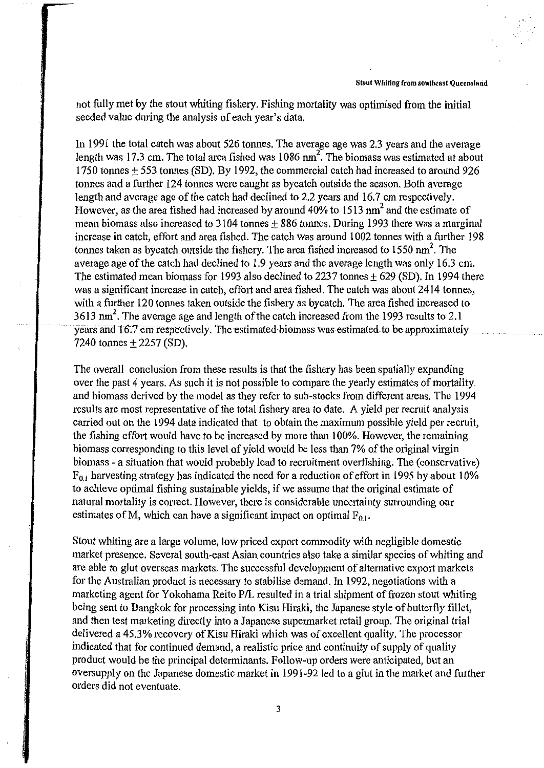not fully met by the stout whiting fishery. Fishing mortality was optimised from the initial seeded value during the analysis of each year's data.

In 1991 the total catch was about 526 tonnes. The average age was 2.3 years and the average length was 17.3 cm. The total area fished was 1086 nm<sup>2</sup>. The biomass was estimated at about 1750 tonnes  $\pm$  553 tonnes (SD). By 1992, the commercial catch had increased to around 926 tonnes and a further 124 tonnes were caught as bycatch outside the season. Both average length and average age of the catch had declined to 2.2 years and 16.7 cm respectively. However, as the area fished had increased by around 40% to 1513 nm<sup>2</sup> and the estimate of mean biomass also increased to 3104 tonnes  $\pm$  886 tonnes. During 1993 there was a marginal increase in catch, effort and area fished. The catch was around 1002 tonnes with a further 198 tonnes taken as bycatch outside the fishery. The area fished increased to 1550 nm<sup>2</sup>. The average age of the catch had declined to 1.9 years and the average length was only 16.3 cm. The estimated mean biomass for 1993 also declined to 2237 tonnes  $\pm$  629 (SD). In 1994 there was a significant increase in catch, effort and area fished. The catch was about 2414 tonnes, with a further 120 tonnes taken outside the fishery as bycatch. The area fished increased to 3613 nm<sup>2</sup>. The average age and length of the catch increased from the 1993 results to 2.1 years and 16.7 cm respectively. The estimated biomass was estimated to be approximately 7240 tonnes ± 2257 (SD).

The overall conclusion from these results is that the fishery has been spatially expanding over the past 4 years. As such it is not possible to compare the yearly estimates of mortality. and biomass derived by the model as they refer to sub-stocks from different areas. The 1994 results are most representative of the total fishery area to date. A yield per recruit analysis carried out on the 1994 data indicated that to obtain the maximum possible yield per recruit, the fishing effort would have to be increased by more than 100%. However, the remaining biomass corresponding to this level of yield would be less than 7% of the original virgin biomass - a situation that would probably lead to recruitment overfishing. The (conservative)  $F_{0,1}$  harvesting strategy has indicated the need for a reduction of effort in 1995 by about 10% to achieve optimal fishing sustainable yields, if we assume that the original estimate of natural mortality is correct. However, there is considerable uncertainty surrounding our estimates of M, which can have a significant impact on optimal  $F_{0,1}$ .

Stout whiting are a large volume, low priced export commodity with negligible domestic market presence. Several south-east Asian countries also take a similar species of whiting and are able to glut overseas markets. The successful development of alternative export markets for the Australian product is necessary to stabilise demand. In 1992, negotiations with a marketing agent for Yokohama Reito P/L resulted in a trial shipment of frozen stout whiting being sent to Bangkok for processing into Kisu Hiraki, the Japanese style of butterfly fillet, and then test marketing directly into a Japanese supermarket retail group. The original trial delivered a 45.3% recovery of Kisu Hiraki which was of excellent quality. The processor indicated that for continued demand, a realistic price and continuity of supply of quality product would be the principal determinants. Follow-up orders were anticipated, but an oversupply on the Japanese domestic market in 1991-92 led to a glut in the market and futther orders did not eventuate.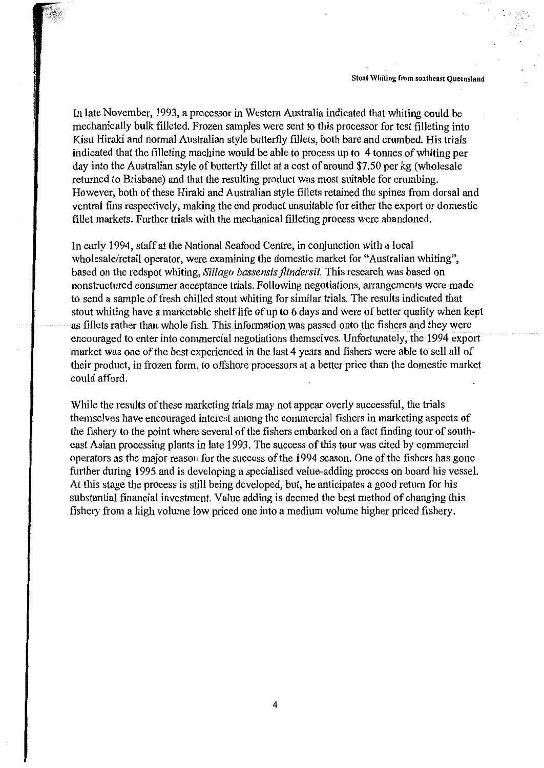· ...

In late November, 1993, a processor in Western Australia indicated that whiting could be mechanically bulk filleted. Frozen samples were sent to this processor for test filleting into Kisu Hiraki and normal Australian style butterfly fillets, both bare and crumbed. His trials indicated that the filleting machine would be able to process up to 4 tonnes of whiting per day into the Australian style of butterfly fillet at a cost of around \$7.50 per kg (wholesale returned to Brisbane) and that the resulting product was most suitable for crumbing. However, both of these Hiraki and Australian style fillets retained the spines from dorsal and ventral fins respectively, making the end product unsuitable for either the export or domestic fillet markets. Futther trials with the mechanical filleting process were abandoned.

In early 1994, staff at the National Seafood Centre, in conjunction with a local wholesale/retail operator, were examining the domestic market for "Australian whiting", based on the redspot whiting, *Sillago bassensis flindersii*. This research was based on nonstructured consumer acceptance trials. Following negotiations, arrangements were made to send a sample of fresh chilled stout whiting for similar trials. The results indicated that stout whiting have a marketable shelf life of up to 6 days and were of better quality when kept as fillets rather than whole fish. This information was passed onto the fishers and they were encouraged to enter into commercial negotiations themselves. Unfortunately, the 1994 export market was one of the best experienced in the last 4 years and fishers were able to sell all of their product, in frozen form, to offshore processors at a better price than the domestic market could afford.

While the results of these marketing trials may not appear overly successful, the trials themselves have encouraged interest among the commercial fishers in marketing aspects of the fishery to the point where several of the fishers embarked on a fact finding tour of southeast Asian processing plants in late 1993. The success of this tour was cited by commercial operators as the major reason forthe success of the 1994 season. One of the fishers has gone further during 1995 and is developing a specialised value-adding process on board his vessel. At this stage the process is still being developed, but, he anticipates a good return for his substantial financial investment. Value adding is deemed the best method of changing this fishery from a high volume low priced one into a medium volume higher priced fishery.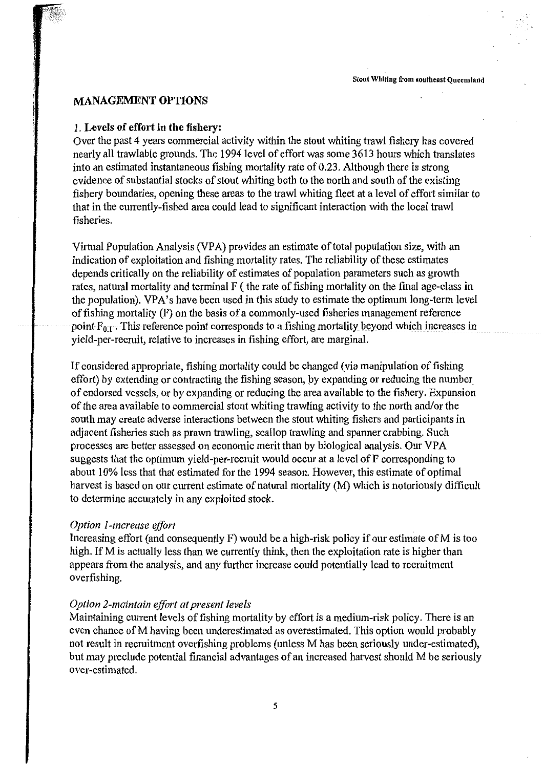# **MANAGEMENT OPTIONS**

#### **1. Levels of effort in the fishery:**

Over the past 4 years commercial activity within the stout whiting trawl fishery has covered nearly all trawlable grounds. The 1994 level of effort was some 3613 hours which translates into an estimated instantaneous fishing mortality rate of 0.23. Although there is strong evidence of substantial stocks of stout whiting both to the north and south of the existing fishery boundaries, opening these areas to the trawl whiting fleet at a level of effort similar to that in the currently-fished area could lead to significant interaction with the local trawl fisheries.

Virtual Population Analysis (VPA) provides an estimate of total population size, with an indication of exploitation and fishing mortality rates. The reliability of these estimates depends critically on the reliability of estimates of population parameters such as growth rates, natural mortality and terminal F ( the rate of fishing mortality on the final age-class in the population). VPA's have been used in this study to estimate the optimum long-term level of fishing mortality (F) on the basis of a commonly-used fisheries management reference point  $F_{01}$ . This reference point corresponds to a fishing mortality beyond which increases in yield-per-recruit, relative to increases in fishing effort, are marginal.

If considered appropriate, fishing mortality could be changed (via manipulation of fishing effort) by extending or contracting the fishing season, by expanding or reducing the number. of endorsed vessels, or by expanding or reducing the area available to the fishery. Expansion of the area available to commercial stout whiting trawling activity to the north and/or the south may create adverse interactions between the stout whiting fishers and participants in adjacent fisheries such as prawn trawling, scallop trawling and spanner crabbing. Such processes are better assessed on economic merit than by biological analysis. Our VPA suggests that the optimum yield-per-recruit would occur at a level of F corresponding to about 10% less that that estimated for the 1994 season. However, this estimate of optimal harvest is based on our current estimate of natural mortality (M) which is notoriously difficult to determine accurately in any exploited stock.

# *Option I-increase effort*

Increasing effort (and consequently  $F$ ) would be a high-risk policy if our estimate of M is too high. If M is actually less than we currently think, then the exploitation rate is higher than appears from the analysis, and any further increase could potentially lead to recruitment overfishing.

# *Option 2-maintain effort at present levels*

Maintaining current levels of fishing mortality by effort is a medium-risk policy. There is an even chance of M having been underestimated as overestimated. This option would probably not result in recruitment overfishing problems (unless M has been seriously under-estimated), but may preclude potential financial advantages of an increased harvest should M be seriously over-estimated.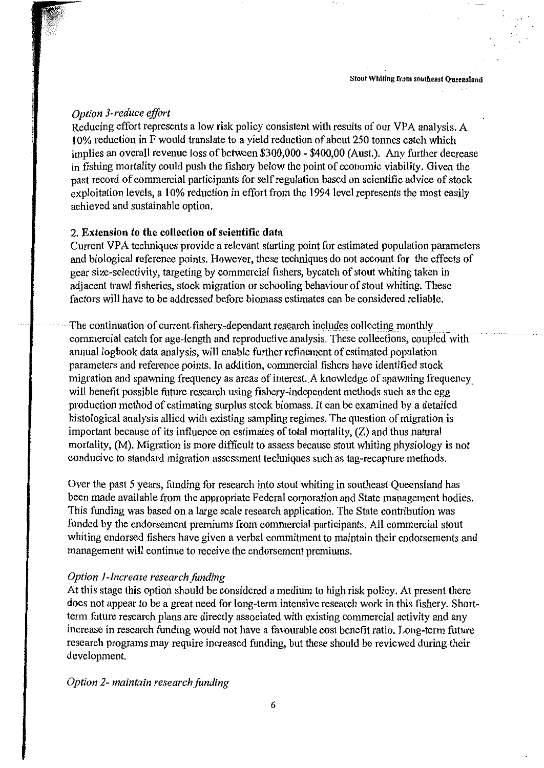# *Option 3-reduce effort*

Reducing effort represents a low risk policy consistent with results of our VPA analysis. A 10% reduction in F would translate to a yield reduction of about 250 tonnes catch which implies an overall revenue loss of between \$300,000 - \$400,00 (Aust.). Any further decrease in fishing mortality could push the fishery below the point of economic viability. Given the past record of commercial participants for self regulation based on scientific advice of stock exploitation levels, a 10% reduction in effort from the 1994 level represents the most easily achieved and sustainable option.

# 2. **Extension to the collection of scientific data**

Current VPA techniques provide a relevant starting point for estimated population parameters and biological reference points. However, these techniques do not account for the effects of gear size-selectivity, targeting by commercial fishers, bycatch of stout whiting taken in adjacent trawl fisheries, stock migration or schooling behaviour of stout whiting. These factors will have to be addressed before biomass estimates can be considered reliable.

The continuation of current fishery-dependant research includes collecting monthly commercial catch for age-length and reproductive analysis. These collections, coupled with annual logbook data analysis, will enable futiher refinement of estimated population parameters and reference points. In addition, commercial fishers have identified stock migration and spawning frequency as areas of interest. A knowledge of spawning frequency will benefit possible future research using fishery-independent methods such as the egg production method of estimating surplus stock biomass. It can be examined by a detailed histological analysis allied with existing sampling regimes. The question of migration is important because of its influence on estimates of total mortality, (Z) and thus natural mortality, (M). Migration is more difficult to assess because stout whiting physiology is not conducive to standard migration assessment techniques such as tag-recapture methods.

Over the past 5 years, funding for research into stout whiting in southeast Queensland has been made available from the appropriate Federal corporation and State management bodies. This funding was based on a large scale research application. The State contribution was funded by the endorsement premiums from commercial participants. All commercial stout whiting endorsed fishers have given a verbal commitment to maintain their endorsements and management will continue to receive the endorsement premiums.

#### *Option I-Increase research funding*

At this stage this option should be considered a medium to high risk policy. At present there does not appear to be a great need for long-term intensive research work in this fishery. Shortterm future research plans are directly associated with existing commercial activity and any increase in research funding would not have a favourable cost benefit ratio. Long-term future research programs may require increased funding, but these should be reviewed during their development.

#### *Option 2- maintain research funding*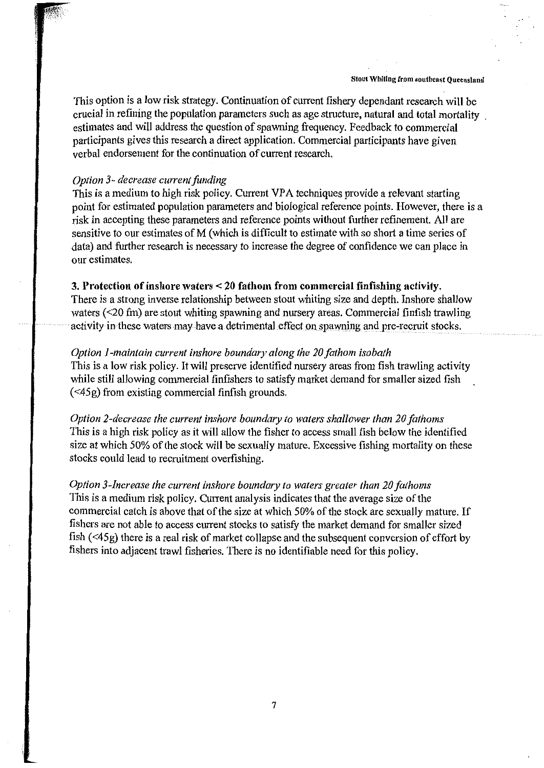**Stout Whiting from southeast Queensland** 

This option is a low risk strategy. Continuation of current fishery dependant research will be crucial in refining the population parameters such as age structure, natural and total mortality . estimates and will address the question of spawning frequency. Feedback to commercial participants gives this research a direct application. Commercial participants have given verbal endorsement for the continuation of current research.

# *Option 3- decrease current funding*

This is a medium to high risk policy. Current VPA techniques provide a relevant starting point for estimated population parameters and biological reference points. However, there is a risk in accepting these parameters and reference points without further refinement. All are sensitive to our estimates of M (which is difficult to estimate with so short a time series of data) and further research is necessary to increase the degree of confidence we can place in our estimates.

# **3. Protection of inshore waters< 20 fathom from commercial finfishing activity.**

There is a strong inverse relationship between stout whiting size and depth. Inshore shallow waters (<20 fm) are stout whiting spawning and nursery areas. Commercial finfish trawling activity in these waters may have a detrimental effect on spawning and pre-recruit stocks.

# *Option I-maintain current inshore boundary along the 20 fathom isobath*

This is a low risk policy. It will preserve identified nursery areas from fish trawling activity while still allowing commercial finfishers to satisfy market demand for smaller sized fish (<45g) from existing commercial finfish grounds.

*Option 2-decrease the current inshore boundmy to waters shallower than 20 fathoms*  This is a high risk policy as it will allow the fisher to access small fish below the identified size at which 50% of the stock will be sexually mature. Excessive fishing mortality on these stocks could lead to recruitment overfishing.

*Option 3-Increase the current inshore boundary to waters greater than 20 fathoms*  This is a medium risk policy. Current analysis indicates that the average size of the commercial catch is above that of the size at which 50% of the stock are sexually mature. If fishers are not able to access current stocks to satisfy the market demand for smaller sized fish ( <45g) there is a real risk of market collapse and the subsequent conversion of effort by fishers into adjacent trawl fisheries. There is no identifiable need for this policy.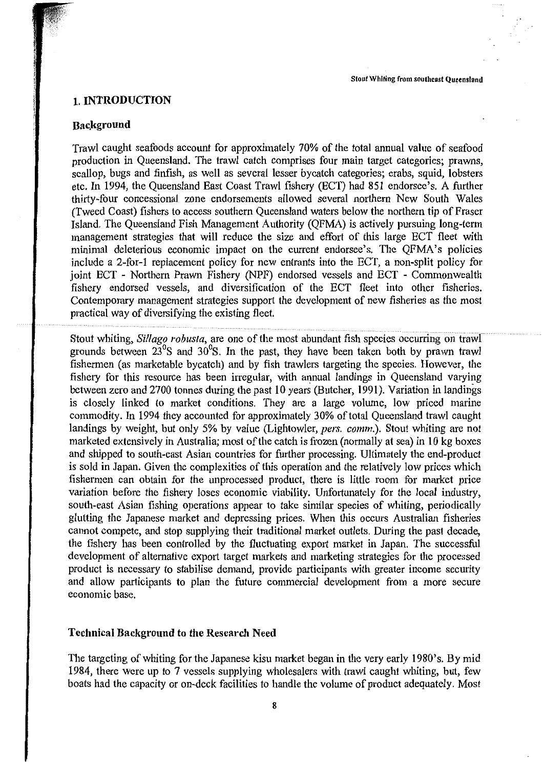#### **1. INTRODUCTION**

#### **Bac.kground**

Trawl caught seafoods account for approximately 70% of the total annual value of seafood production in Queensland. The trawl catch comprises four main target categories; prawns, scallop, bugs and finfish, as well as several lesser bycatch categories; crabs, squid, lobsters etc. In 1994, the Queensland East Coast Trawl fishery (ECT) had 851 endorsee's. A further thirty-four concessional zone endorsements allowed several northern New South Wales (Tweed Coast) fishers to access southern Queensland waters below the northern tip of Fraser Island. The Queensland Fish Management Authority (QFMA) is actively pursuing long-term management strategies that will reduce the size and effort of this large ECT fleet with minimal deleterious economic impact on the current endorsee's. The QFMA's policies include a 2-for-1 replacement policy for new entrants into the ECT, a non-split policy for joint ECT - Northern Prawn Fishery (NPF) endorsed vessels and ECT - Commonwealth fishery endorsed vessels, and diversification of the ECT fleet into other fisheries. Contemporary management strategies support the development of new fisheries as the most practical way of diversifying the existing fleet.

Stout whiting, *Si/lago robusta,* are one of the most abundant fish species occurring on trawl grounds between  $23^{\circ}$ S and  $30^{\circ}$ S. In the past, they have been taken both by prawn trawl fishermen (as marketable bycatch) and by fish trawlers targeting the species. However, the fishery for this resource has been irregular, with annual landings in Queensland varying between zero and 2700 tonnes during the past 10 years (Butcher, 1991). Variation in landings is closely linked to market conditions. They are a large volume, low priced marine commodity. In 1994 they accounted for approximately 30% of total Queensland trawl caught landings by weight, but only 5% by value (Lightowler, *pers. comm.).* Stout whiting are not marketed extensively in Australia; most of the catch is frozen (normally at sea) in 10 kg boxes and shipped to south-east Asian countries for further processing. Ultimately the end-product is sold in Japan. Given the complexities of this operation and the relatively low prices which fishermen can obtain for the unprocessed product, there is little room for market price variation before the fishery loses economic viability. Unfortunately for the local industry, south-east Asian fishing operations appear to take similar species of whiting, periodically glutting the Japanese market and depressing prices. When this occurs Australian fisheries cannot compete, and stop supplying their traditional market outlets. During the past decade, the fishery has been controlled by the fluctuating export market in Japan. The successful development of alternative export target markets and marketing strategies for the processed product is necessary to stabilise demand, provide participants with greater income security and allow participants to plan the future commercial development from a more secure economic base.

#### **Technical Background to the Research Need**

The targeting of whiting for the Japanese kisu market began in the very early 1980's. By mid 1984, there were up to 7 vessels supplying wholesalers with trawl caught whiting, but, few boats had the capacity or on-deck facilities to handle the volume of product adequately. Most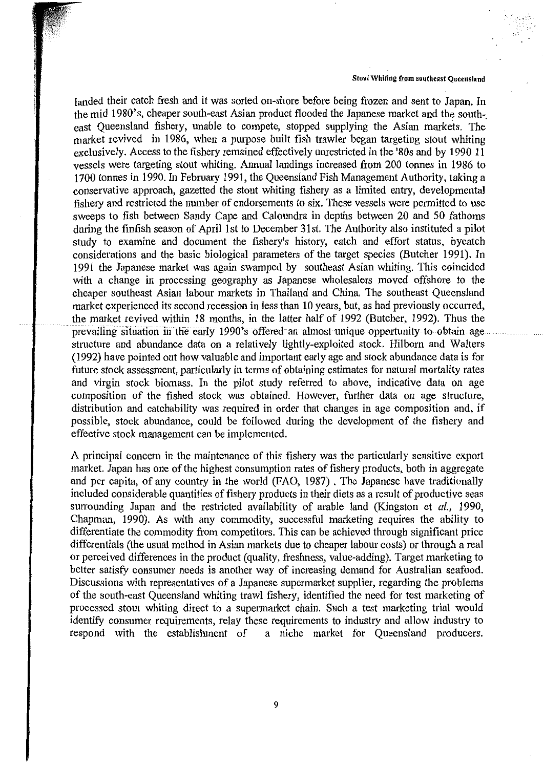$\ddotsc$ 

landed their catch fresh and it was sorted on-shore before being frozen and sent to Japan. Jn the mid 1980's, cheaper south-east Asian product flooded the Japanese market and the southeast Queensland fishery, unable to compete, stopped supplying the Asian markets. The market revived in 1986, when a purpose built fish trawler began targeting stout whiting exclusively. Access to the fishery remained effectively unrestricted in the '80s and by 1990 11 vessels were targeting stout whiting. Armual landings increased from 200 tonnes in 1986 to 1700 tonnes in 1990. In February 1991, the Queensland Fish Management Authority, taking a conservative approach, gazetted the stout whiting fishery as a limited entry, developmental fishery and restricted the number of endorsements to six. These vessels were permitted to use sweeps to fish between Sandy Cape and Caloundra in depths between 20 and 50 fathoms during the finfish season of April 1st to December 31st. The Authority also instituted a pilot study to examine and document the fishery's history, catch and effort status, by catch considerations and the basic biological parameters of the target species (Butcher 1991). In 1991 the Japanese market was again swamped by southeast Asian whiting. This coincided with a change in processing geography as Japanese wholesalers moved offshore to the cheaper southeast Asian labour markets in Thailand and China. The southeast Queensland market experienced its second recession in less than 10 years, but, as had previously occurred, the market revived within 18 months, in the latter half of 1992 (Butcher, 1992). Thus the prevailing situation in the early 1990's offered an almost unique opportunity to obtain age structure and abundance data on a relatively lightly-exploited stock. Hilborn and Walters (1992) have pointed out how valuable and important early age and stock abundance data is for future stock assessment, particularly in terms of obtaining estimates for natural mortality rates and virgin stock biomass. Jn the pilot study referred to above, indicative data on age composition of the fished stock was obtained. However, further data on age structure, distribution and catchability was required in order that changes in age composition and, if possible, stock abundance, could be followed during the development of the fishery and effective stock management can be implemented.

A principal concern in the maintenance of this fishery was the particularly sensitive export market. Japan has one of the highest consumption rates of fishery products, both in aggregate and per capita, of any country in the world (FAO, 1987). The Japanese have traditionally included considerable quantities of fishery products in their diets as a result of productive seas surrounding Japan and the restricted availability of arable land (Kingston et *al.,* 1990, Chapman, 1990). As with any commodity, successful marketing requires the ability to differentiate the commodity from competitors. This can be achieved through significant price differentials (the usual method in Asian markets due to cheaper labour costs) or through a real or perceived differences in the product (quality, freshness, value-adding). Target marketing to better satisfy consumer needs is another way of increasing demand for Australian seafood. Discussions with representatives of a Japanese supermarket supplier, regarding the problems of the south-east Queensland whiting trawl fishery, identified the need for test marketing of processed stout whiting direct to a supermarket chain. Such a test marketing trial would identify consumer requirements, relay these requirements to industry and allow industry to respond with the establishment of a niche market for Queensland producers. a niche market for Queensland producers.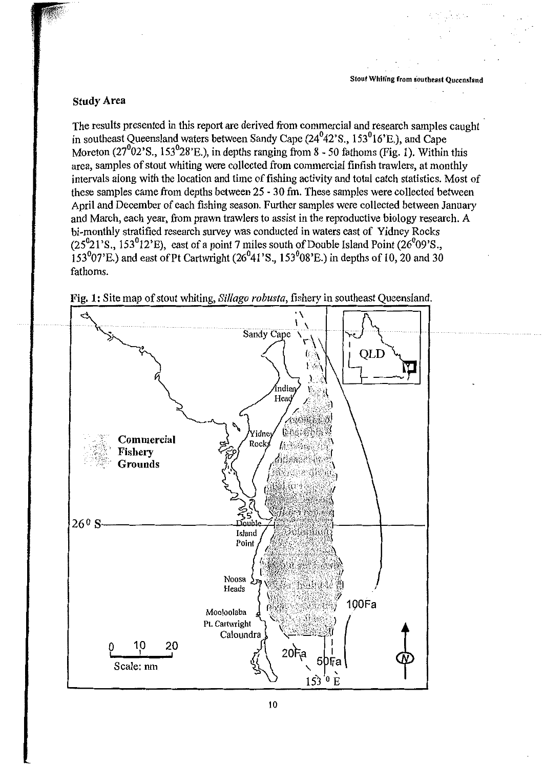#### Study Area

The results presented in this report are derived from commercial and research samples caught in southeast Queensland waters between Sandy Cape (24°42'S., 153°16'E.), and Cape Moreton  $(27^{0}02^{1}S_{1}, 153^{0}28^{1}E_{1})$ , in depths ranging from 8 - 50 fathoms (Fig. 1). Within this area, samples of stout whiting were collected from commercial finfish trawlers, at monthly intervals along with the location and time of fishing activity and total catch statistics. Most of these samples came from depths between 25 - 30 fm. These samples were collected between April and December of each fishing season. Further samples were collected between January and March, each year, from prawn trawlers to assist in the reproductive biology research. A bi-monthly stratified research survey was conducted in waters east of Yidney Rocks  $(25<sup>0</sup>21'S., 153<sup>0</sup>12'E),$  east of a point 7 miles south of Double Island Point  $(26<sup>0</sup>09'S.,$  $153<sup>0</sup>07'E$ .) and east of Pt Cartwright (26<sup>0</sup>41'S., 153<sup>0</sup>08'E.) in depths of 10, 20 and 30 fathoms.



Fig. 1: Site map of stout whiting, *Sillago robusta*, fishery in southeast Queensland.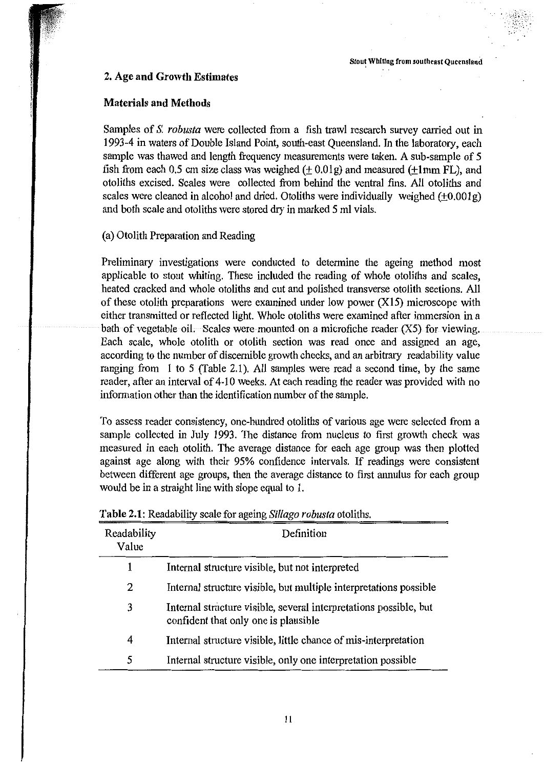# 2. Age and Growth Estimates

# Materials and Methods

Samples of S. *robusta* were collected from a fish trawl research survey carried out in 1993-4 in waters of Double Island Point, south-east Queensland. In the laboratory, each sample was thawed and length frequency measurements were taken. A sub-sample of 5 fish from each 0.5 cm size class was weighed  $(+ 0.01g)$  and measured  $(+1mm$  FL), and otoliths excised. Scales were collected from behind the ventral fins. All otoliths and scales were cleaned in alcohol and dried. Otoliths were individually weighed  $(+0.001g)$ and both scale and otoliths were stored dry in marked 5 ml vials.

# (a) Otolith Preparation and Reading

Preliminary investigations were conducted to determine the ageing method most applicable to stout whiting. These included the reading of whole otoliths and scales, heated cracked and whole otoliths and cut and polished transverse otolith sections. All of these otolith preparations were examined under low power  $(X15)$  microscope with either transmitted or reflected light. Whole otoliths were examined after immersion in a bath of vegetable oil. Scales were mounted on a microfiche reader (X5) for viewing. Each scale, whole otolith or otolith section was read once and assigned an age, according to the number of discernible growth checks, and an arbitrary readability value ranging from 1 to 5 (Table 2.1). All samples were read a second time, by the same reader, after an interval of 4-10 weeks. At each reading the reader was provided with no information other than the identification number of the sample.

To assess reader consistency, one-hundred otoliths of various age were selected from a sample collected in July 1993. The distance from nucleus to first growth check was measured in each otolith. The average distance for each age group was then plotted against age along with their 95% confidence intervals. If readings were consistent between different age groups, then the average distance to first annulus for each group would be in a straight line with slope equal to 1.

| Readability<br>Value | Definition                                                                                                |
|----------------------|-----------------------------------------------------------------------------------------------------------|
| 1                    | Internal structure visible, but not interpreted                                                           |
| 2                    | Internal structure visible, but multiple interpretations possible                                         |
| 3                    | Internal structure visible, several interpretations possible, but<br>confident that only one is plausible |
| 4                    | Internal structure visible, little chance of mis-interpretation                                           |
| 5                    | Internal structure visible, only one interpretation possible                                              |

| Table 2.1: Readability scale for ageing Sillago robusta otoliths. |  |  |  |  |  |  |  |  |  |
|-------------------------------------------------------------------|--|--|--|--|--|--|--|--|--|
|-------------------------------------------------------------------|--|--|--|--|--|--|--|--|--|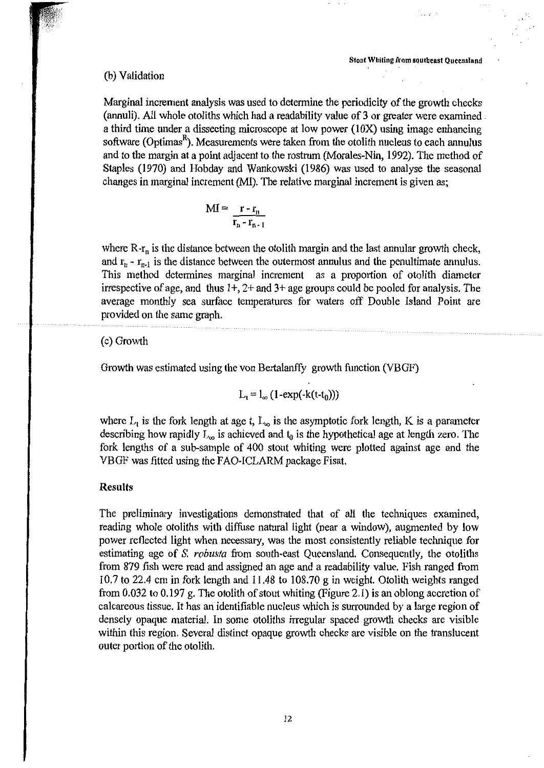#### (b) Validation

Marginal increment analysis was used to determine the periodicity of the growth checks (annuli). All whole otoliths which had a readability value of 3 or greater were examined. a third time under a dissecting microscope at low power (IOX) using image enhancing software (Optimas<sup>R</sup>). Measurements were taken from the otolith nucleus to each annulus and to the margin at a point adjacent to the rostrum (Morales-Nin, 1992). The method of Staples (1970) and Hobday and Wankowski (1986) was used to analyse the seasonal changes in marginal increment (MI). The relative marginal increment is given as;

$$
MI = \frac{r - r_n}{r_n - r_{n-1}}
$$

where  $R-r_n$  is the distance between the otolith margin and the last annular growth check, and  $r_n$  -  $r_{n-1}$  is the distance between the outermost annulus and the penultimate annulus. This method determines marginal increment as a proportion of otolith diameter irrespective of age, and thus  $1+$ ,  $2+$  and  $3+$  age groups could be pooled for analysis. The average monthly sea surface temperatures for waters off Double Island Point are provided on the same graph.

#### (c) Growth

Growth was estimated using the von Bertalanffy growth function (VBGF)

$$
L_t = l_{\infty} (1-\exp(-k(t-t_0)))
$$

where  $L_t$  is the fork length at age t,  $L_{\infty}$  is the asymptotic fork length, K is a parameter describing how rapidly  $L_{\infty}$  is achieved and  $t_0$  is the hypothetical age at length zero. The fork lengths of a sub-sample of 400 stout whiting were plotted against age and the VBGF was fitted using the FAO-ICLARM package Fisat.

#### **Results**

The preliminary investigations demonstrated that of all the techniques examined, reading whole otoliths with diffuse natural light (near a window), augmented by low power reflected light when necessaty, was the most consistently reliable technique for estimating age of *S. robusta* from south-east Queensland. Consequently, the otoliths from 879 fish were read and assigned an age and a readability value. Fish ranged from 10.7 to 22.4 cm in fork length and 11.48 to 108.70 gin weight. Otolith weights ranged from 0. 032 to 0.197 g. The otolith of stout whiting (Figure 2.1) is an oblong accretion of calcareous tissue. It has an identifiable nucleus which is surrounded by a large region of densely opaque material. In some otoliths irregular spaced growth checks are visible within this region. Several distinct opaque growth checks are visible on the translucent outer portion of the otolith.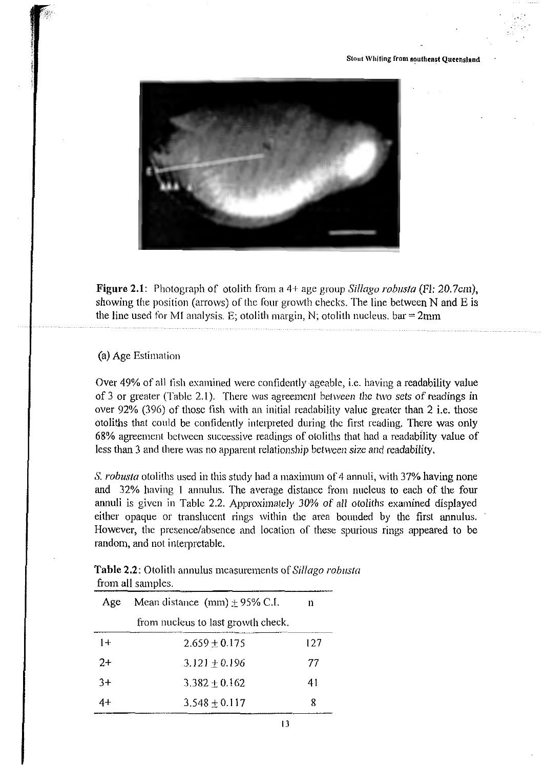

**Figure 2.1:** Photograph of otolith from a 4+ age group *Si/Iago robusta* (Fl: 20.7cm), showing the position (arrows) of the four growth checks. The line between N and E is the line used for MI analysis. E; otolith margin, N; otolith nucleus.  $bar = 2mm$ 

# (a) Age Estimation

Over 49% of all fish examined were confidently ageable, i.e. having a readability value of 3 or greater (Table 2.1 ). There was agreement between the two sets of readings in over 92% (396) of those fish with an initial readability value greater than 2 i.e. those otoliths that could be confidently interpreted during the first reading. There was only 68% agreement between successive readings of otoliths that had a readability value of less than 3 and there was no apparent relationship between size and readability.

S. *robusta* otoliths used in this study had a maximum of 4 annuli, with 37% having none and 32% having I annulus. The average distance from nucleus to each of the four annuli is given in Table 2.2. Approximately 30% of all otoliths examined displayed either opaque or translucent rings within the area bounded by the first annulus. However, the presence/absence and location of these spurious rings appeared to be random, and not interpretable.

| <b>Table 2.2:</b> Otolith annulus measurements of Sillago robusta                                                                                                                                                                                   |  |
|-----------------------------------------------------------------------------------------------------------------------------------------------------------------------------------------------------------------------------------------------------|--|
| from all samples.<br>the contract of the contract of the contract of the contract of the contract of the contract of the contract of the contract of the contract of the contract of the contract of the contract of the contract of the contract o |  |
|                                                                                                                                                                                                                                                     |  |

| Age  | Mean distance $(nm) \pm 95\%$ C.I. | n   |
|------|------------------------------------|-----|
|      | from nucleus to last growth check. |     |
| $1+$ | $2.659 \pm 0.175$                  | 127 |
| $2+$ | $3.121 \pm 0.196$                  | 77  |
| $3+$ | $3.382 + 0.162$                    | 41  |
|      | $3.548 \pm 0.117$                  | 8   |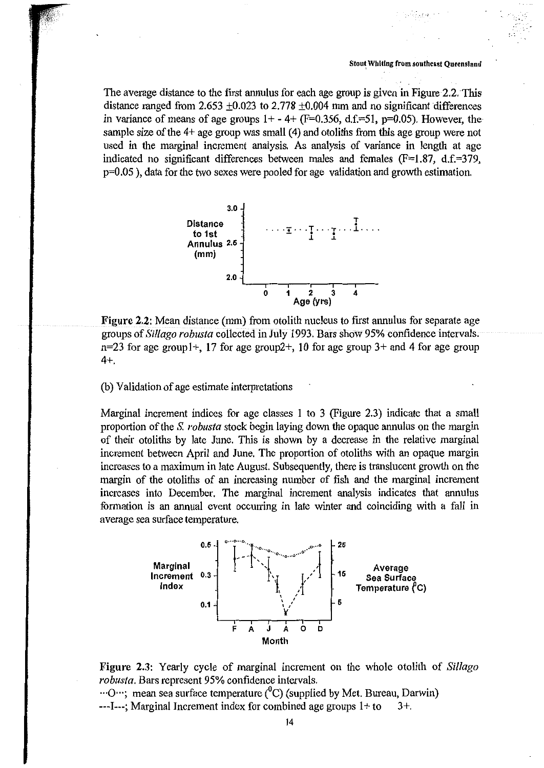The average distance to the first annulus for each age group is given in Figure 2.2. This distance ranged from 2.653  $\pm 0.023$  to 2.778  $\pm 0.004$  mm and no significant differences in variance of means of age groups  $1+ - 4+$  (F=0.356, d.f.=51, p=0.05). However, the sample size of the 4+ age group was small (4) and otoliths from this age group were not used in the marginal increment analysis. As analysis of variance in length at age indicated no significant differences between males and females  $(F=1.87, d.f.=379, d.f.=379)$ p=0.05 ), data for the two sexes were pooled for age validation and growth estimation.



Figure 2.2: Mean distance (mm) from otolith nucleus to first annulus for separate age groups of *Sillago robusta* collected in July 1993. Bars show 95% confidence intervals.  $n=23$  for age group  $1+$ , 17 for age group  $2+$ , 10 for age group  $3+$  and 4 for age group 4+.

(b) Validation of age estimate interpretations

Marginal increment indices for age classes 1 to 3 (Figure 2.3) indicate that a small proportion of the S. *robusta* stock begin laying down the opaque annulus on the margin of their otoliths by late June. This is shown by a decrease in the relative marginal increment between April and June. The proportion of otoliths with an opaque margin increases to a maximum in late August. Subsequently, there is translucent growth on the margin of the otoliths of an increasing number of fish and the marginal increment increases into December. The marginal increment analysis indicates that annulus formation is an annual event occurring in late winter and coinciding with a fall in average sea surface temperature.



Figure 2.3: Yearly cycle of marginal increment on the whole otolith of *Sil/ago robusta.* Bars represent 95% confidence intervals .

... O...; mean sea surface temperature  $({}^{0}C)$  (supplied by Met. Bureau, Darwin)  $---I---$ ; Marginal Increment index for combined age groups  $1+$  to  $3+.$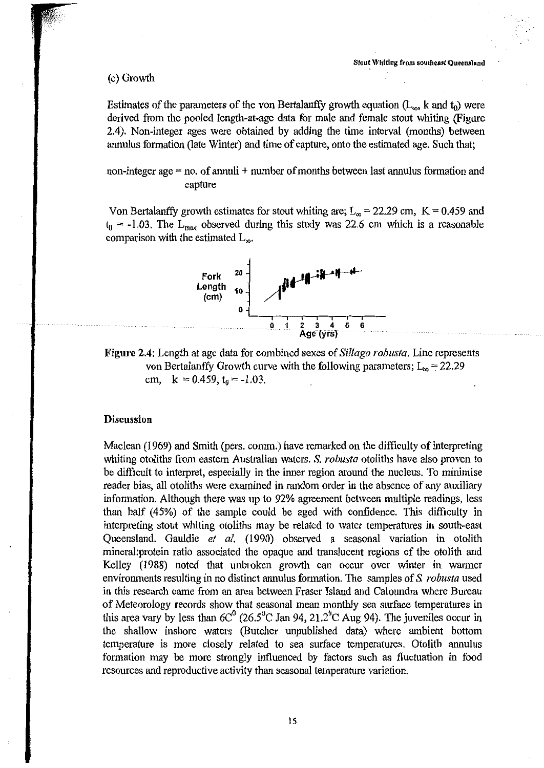#### (c) Growth

Estimates of the parameters of the von Bertalanffy growth equation ( $L_{\infty}$ , k and  $t_0$ ) were derived from the pooled length-at-age data for male and female stout whiting (Figure 2.4). Non-integer ages were obtained by adding the time interval (months) between annulus formation (late Winter) and time of capture, onto the estimated age. Such that;

non-integer age = no. of annuli + number of months between last annulus formation and capture

Von Bertalanffy growth estimates for stout whiting are;  $L_{\infty}$  = 22.29 cm, K = 0.459 and  $t_0$  = -1.03. The L<sub>max</sub> observed during this study was 22.6 cm which is a reasonable comparison with the estimated  $L_{\infty}$ .



Figure 2.4: Length at age data for combined sexes of *Sil/ago robusta.* Line represents von Bertalanffy Growth curve with the following parameters;  $L_{\infty} = 22.29$ cm,  $k = 0.459$ ,  $t_0 = -1.03$ .

#### Discussion

Maclean (1969) and Smith (pers. comm.) have remarked on the difficulty of interpreting whiting otoliths from eastern Australian waters. S. *robusta* otoliths have also proven to be difficult to interpret, especially in the inner region around the nucleus. To minimise reader bias, all otoliths were examined in random order in the absence of any auxiliary information. Although there was up to 92% agreement between multiple readings, less than half (45%) of the sample could be aged with confidence. This difficulty in interpreting stout whiting otoliths may be related to water temperatures in south-east Queensland. Gauldie *et al.* (1990) observed a seasonal variation in otolith mineral:protein ratio associated the opaque and translucent regions of the otolith and Kelley (1988) noted that unbroken growth can occur over winter in warmer environments resulting in no distinct annulus formation. The samples of S. *robusta* used in this research came from an area between Fraser Island and Caloundra where Bureau of Meteorology records show that seasonal mean monthly sea surface temperatures in this area vary by less than  $6C^0$  (26.5<sup>o</sup>C Jan 94, 21.2<sup>o</sup>C Aug 94). The juveniles occur in the shallow inshore waters (Butcher unpublished data) where ambient bottom temperature is more closely related to sea surface temperatures. Otolith annulus formation may be more strongly influenced by factors such as fluctuation in food resources and reproductive activity than seasonal temperature variation.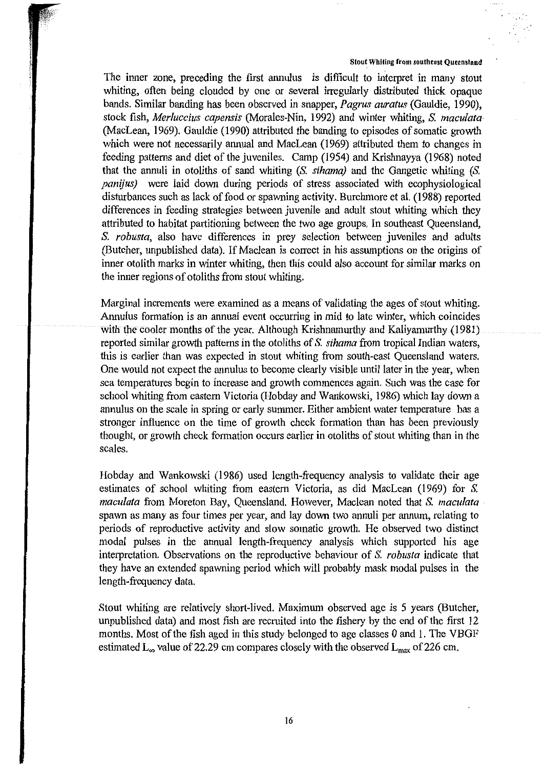The inner zone, preceding the first annulus is difficult to interpret in many stout whiting, often being clouded by one or several irregularly distributed thick opaque bands. Similar banding has been observed in snapper, *Pagrus auratus* (Gauldie, 1990), stock fish, *Merluccius capensis* (Morales-Nin, 1992) and winter whiting, *S. maculata·*  (MacLean, 1969). Gauldie (1990) attributed the banding to episodes of somatic growth which were not necessarily annual and MacLean (1969) attributed them to changes in feeding patterns and diet of the juveniles. Camp (1954) and Krishnayya (1968) noted that the annuli in otoliths of sand whiting (S. *sihama)* and the Gangetic whiting (S. *panijus)* were laid down during periods of stress associated with ecophysiological disturbances such as lack of food or spawning activity. Burchmore et al. (1988) reported differences in feeding strategies between juvenile and adult stout whiting which they attributed to habitat partitioning between the two age groups. In southeast Queensland, *S. robusta,* also have differences in prey selection between juveniles and adults (Butcher, unpublished data). If Maclean is correct in his assumptions on the origins of inner otolith marks in winter whiting, then this could also account for similar marks on the inner regions of otoliths from stout whiting.

Marginal increments were examined as a means of validating the ages of stout whiting. Annulus formation is an annual event occurring in mid to late winter, which coincides with the cooler months of the year. Although Krishnamurthy and Kaliyamurthy (1981). reported similar growth patterns in the otoliths of *S. sihama* from tropical Indian waters, this is earlier than was expected in stout whiting from south-east Queensland waters. One would not expect the annulus to become clearly visible until later in the year, when sea temperatures begin to increase and growth commences again. Such was the case for school whiting from eastern Victoria (Hobday and Wankowski, 1986) which lay down a annulus on the scale in spring or early summer. Either ambient water temperature has a stronger influence on the time of growth check formation than has been previously thought, or growth check formation occurs earlier in otoliths of stout whiting than in the scales.

Hobday and Wankowski (1986) used length-frequency analysis to validate their age estimates of school whiting from eastern Victoria, as did MacLean (1969) for *S. maculata* from Moreton Bay, Queensland. However, Maclean noted that *S. maculata*  spawn as many as four times per year, and lay down two annuli per annum, relating to periods of reproductive activity and slow somatic growth. He observed two distinct modal pulses in the annual length-frequency analysis which supported his age interpretation. Observations on the reproductive behaviour of *S. robusta* indicate that they have an extended spawning period which will probably mask modal pulses in the length-frequency data.

Stout whiting are relatively short-lived. Maximum observed age is *5* years (Butcher, unpublished data) and most fish are recruited into the fishery by the end of the first 12 months. Most of the fish aged in this study belonged to age classes 0 and 1. The VBGF estimated  $L_{\infty}$  value of 22.29 cm compares closely with the observed  $L_{\max}$  of 226 cm.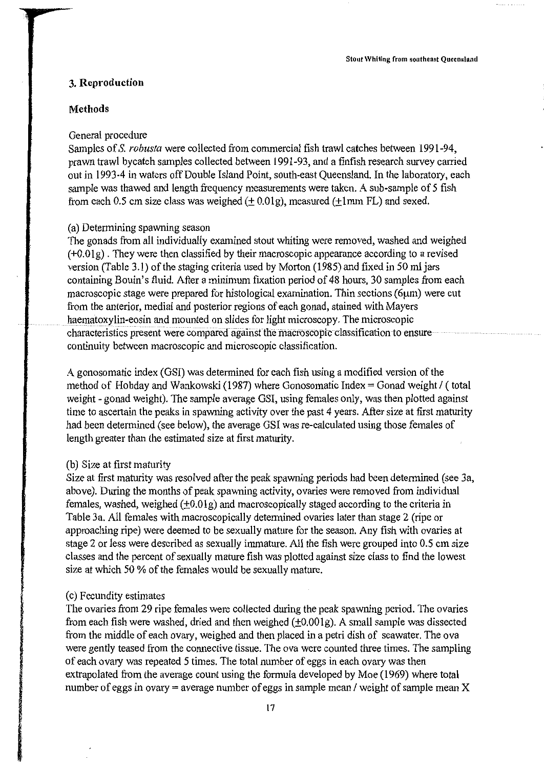#### **3. Reproduction**

#### **Methods**

#### General procedure

Samples of S. *robusta* were collected from commercial fish trawl catches between 1991-94, prawn trawl bycatch samples collected between 1991-93, and a finfish research survey carried out in 1993-4 in waters off Double Island Point, south-east Queensland. In the laboratory, each sample was thawed and length frequency measurements were taken. A sub-sample of 5 fish from each 0.5 cm size class was weighed  $(\pm 0.01g)$ , measured ( $\pm 1$ mm FL) and sexed.

#### (a) Determining spawning season

The gonads from all individually examined stout whiting were removed, washed and weighed  $(+0.01)$ . They were then classified by their macroscopic appearance according to a revised version (Table 3.1) of the staging criteria used by Morton (1985) and fixed in 50 ml jars containing Bouin's fluid. After a minimum fixation period of 48 hours, 30 samples from each macroscopic stage were prepared for histological examination. Thin sections (6µm) were cut from the anterior, medial and posterior regions of each gonad, stained with Mayers haematoxylin-eosin and mounted on slides for light microscopy. The microscopic characteristics present were compared against the macroscopic classification to ensure continuity between macroscopic and microscopic classification.

A gonosomatic index (GSI) was determined for each fish using a modified version of the method of Hobday and Wankowski (1987) where Gonosomatic Index = Gonad weight  $\ell$  (total weight - gonad weight). The sample average OSI, using females only, was then plotted against time to ascertain the peaks in spawning activity over the past 4 years. After size at first maturity had been determined (see below), the average OSI was re-calculated using those females of length greater than the estimated size at first maturity.

#### (b) Size at first maturity

Size at first maturity was resolved after the peak spawning periods had been determined (see 3a, above). During the months of peak spawning activity, ovaries were removed from individual females, washed, weighed  $(\pm 0.01g)$  and macroscopically staged according to the criteria in Table 3a. All females with macroscopically determined ovaries later than stage 2 (ripe or approaching ripe) were deemed to be sexually mature for the season. Any fish with ovaries at stage 2 or less were described as sexually immature. All the fish were grouped into 0.5 cm size classes and the percent of sexually mature fish was plotted against size class to find the lowest size at which 50 % of the females would be sexually mature.

#### (c) Fecundity estimates

The ovaries from 29 ripe females were collected during the peak spawning period. The ovaries from each fish were washed, dried and then weighed  $(\pm 0.001g)$ . A small sample was dissected from the middle of each ovary, weighed and then placed in a petri dish of seawater. The ova were gently teased from the connective tissue. The ova were counted three times. The sampling of each ovary was repeated 5 times. The total number of eggs in each ovary was then extrapolated from the average count using the formula developed by Moe (1969) where total number of eggs in ovary = average number of eggs in sample mean / weight of sample mean X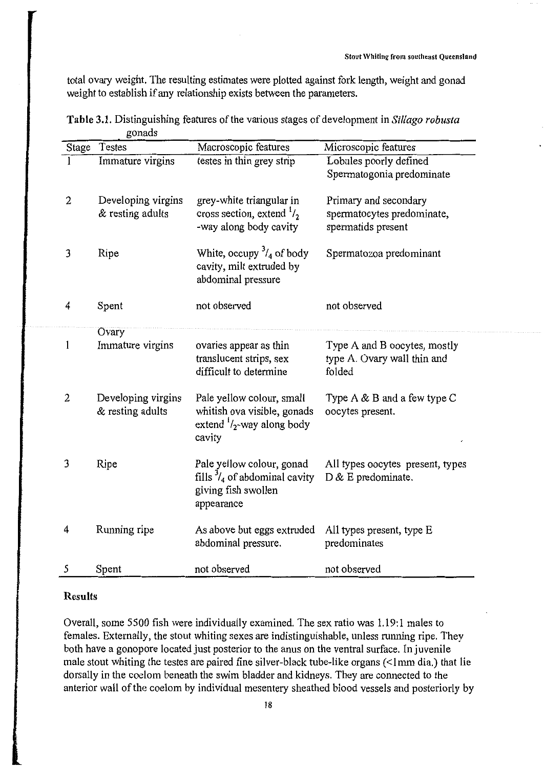total ovary weight. The resulting estimates were plotted against fork length, weight and gonad weight to establish if any relationship exists between the parameters.

|              | Testes             | Macroscopic features                    | Microscopic features             |
|--------------|--------------------|-----------------------------------------|----------------------------------|
| Stage        |                    |                                         |                                  |
| 1            | Immature virgins   | testes in thin grey strip               | Lobules poorly defined           |
|              |                    |                                         | Spermatogonia predominate        |
| $\mathbf{2}$ | Developing virgins | grey-white triangular in                | Primary and secondary            |
|              | & resting adults   | cross section, extend $\frac{1}{2}$     | spermatocytes predominate,       |
|              |                    | -way along body cavity                  | spermatids present               |
|              |                    |                                         |                                  |
| 3            | Ripe               | White, occupy $\frac{3}{4}$ of body     | Spermatozoa predominant          |
|              |                    | cavity, milt extruded by                |                                  |
|              |                    | abdominal pressure                      |                                  |
|              |                    |                                         |                                  |
| 4            | Spent              | not observed                            | not observed                     |
|              |                    |                                         |                                  |
|              | Ovary              |                                         |                                  |
| $\mathbf{1}$ | Immature virgins   | ovaries appear as thin                  | Type A and B oocytes, mostly     |
|              |                    | translucent strips, sex                 | type A. Ovary wall thin and      |
|              |                    | difficult to determine                  | folded                           |
|              |                    |                                         |                                  |
| $\mathbf{2}$ | Developing virgins | Pale yellow colour, small               | Type $A \& B$ and a few type $C$ |
|              | & resting adults   | whitish ova visible, gonads             | oocytes present.                 |
|              |                    | extend $\frac{1}{2}$ -way along body    |                                  |
|              |                    | cavity                                  |                                  |
|              |                    |                                         |                                  |
| 3            | Ripe               | Pale yellow colour, gonad               | All types oocytes present, types |
|              |                    | fills $\frac{3}{4}$ of abdominal cavity | D & E predominate.               |
|              |                    | giving fish swollen                     |                                  |
|              |                    | appearance                              |                                  |
| 4            | Running ripe       | As above but eggs extruded              | All types present, type E        |
|              |                    | abdominal pressure.                     | predominates                     |
|              |                    |                                         |                                  |
| 5            | Spent              | not observed                            | not observed                     |

**Table 3.1.** Distinguishing features of the various stages of development in *Sillago robusta*  gonads

#### **Results**

Overall, some 5500 fish were individually examined. The sex ratio was 1.19:1 males to females. Externally, the stout whiting sexes are indistinguishable, unless running ripe. They both have a gonopore located just posterior to the anus on the ventral surface. In juvenile male stout whiting the testes are paired fine silver-black tube-like organs (<Imm dia.) that lie dorsally in the coelom beneath the swim bladder and kidneys. They are connected to the anterior wall of the coelom by individual mesentery sheathed blood vessels and posteriorly by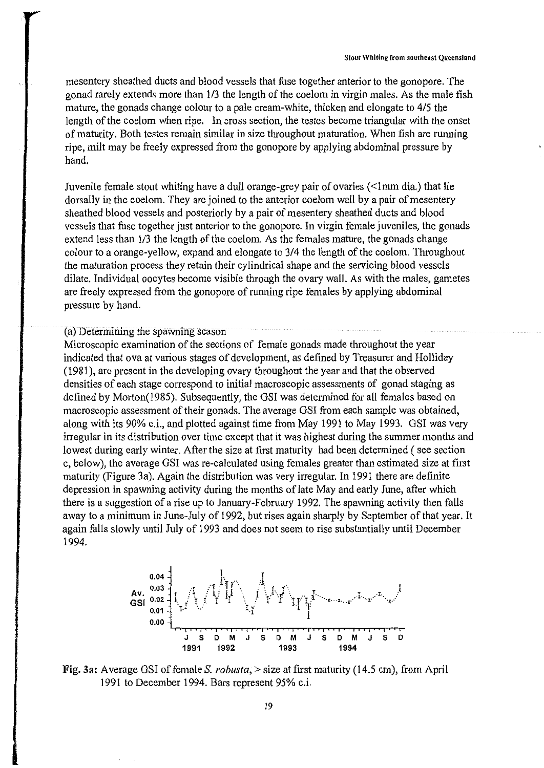mesentery sheathed ducts and blood vessels that fuse together anterior to the gonopore. The gonad rarely extends more than 1/3 the length of the coelom in virgin males. As the male fish mature, the gonads change colour to a pale cream-white, thicken and elongate to 415 the length of the coelom when ripe. In cross section, the testes become triangular with the onset of maturity. Both testes remain similar in size throughout maturation. When fish are running ripe, milt may be freely expressed from the gonopore by applying abdominal pressure by hand.

Juvenile female stout whiting have a dull orange-grey pair of ovaries (<Imm dia.) that lie dorsally in the coelom. They are joined to the anterior coelom wall by a pair of mesentery sheathed blood vessels and posteriorly by a pair of mesentery sheathed ducts and blood vessels that fuse together just anterior to the gonopore. In virgin female juveniles, the gonads extend less than 1/3 the length of the coelom. As the females mature, the gonads change colour to a orange-yellow, expand and elongate to 3/4 the length of the coelom. Throughout the maturation process they retain their cylindrical shape and the servicing blood vessels dilate. Individual oocytes become visible through the ovary wall. As with the males, gametes are freely expressed from the gonopore of running ripe females by applying abdominal pressure by hand.

#### (a) Determining the spawning season

Microscopic examination of the sections of female gonads made throughout the year indicated that ova at various stages of development, as defined by Treasurer and Holliday (1981 ), are present in the developing ovary throughout the year and that the observed densities of each stage correspond to initial macroscopic assessments of gonad staging as defined by Morton(l985). Subsequently, the GSI was determined for all females based on macroscopic assessment of their gonads. The average GSI from each sample was obtained, along with its 90% c.i., and plotted against time from May 1991 to May 1993. GSI was very irregular in its distribution over time except that it was highest during the summer months and lowest during early winter. After the size at first maturity had been determined (see section c, below), the average GSI was re-calculated using females greater than estimated size at first maturity (Figure 3a). Again the distribution was very irregular. In 1991 there are definite depression in spawning activity during the months of late May and early June, after which there is a suggestion of a rise up to January-February 1992. The spawning activity then falls away to a minimum in June-July of 1992, but rises again sharply by September of that year. It again falls slowly until July of 1993 and does not seem to rise substantially until December 1994.



Fig. 3a: Average GSI of female S. *robusta,* >size at first maturity (14.5 cm), from April 1991 to December 1994. Bars represent 95% c.i.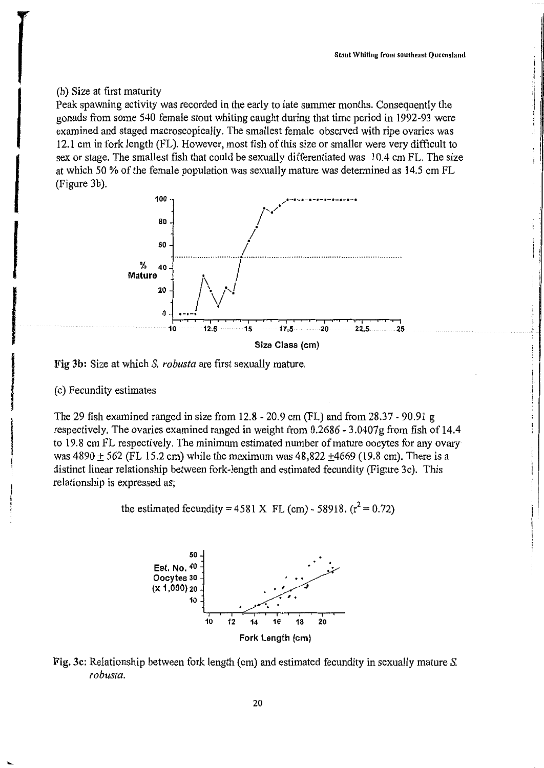# (b) Size at first maturity

Peak spawning activity was recorded in the early to late summer months. Consequently the gonads from some 540 female stout whiting caught during that time period in 1992-93 were examined and staged macroscopically. The smallest female observed with ripe ovaries was 12.1 cm in fork length (FL). However, most fish of this size or smaller were very difficult to sex or stage. The smallest fish that could be sexually differentiated was 10.4 cm FL. The size at which 50 % of the female population was sexually mature was determined as 14.5 cm FL (Figure 3b).



Fig 3b: Size at which S. *robusta* are first sexually mature.

# (c) Fecundity estimates

The 29 fish examined ranged in size from 12.8 - 20.9 cm (FL) and from 28.37 - 90.91 g respectively. The ovaries examined ranged in weight from 0.2686 - 3.0407g from fish of 14.4 to 19.8 cm FL respectively. The minimum estimated number of mature oocytes for any ovary· was  $4890 + 562$  (FL 15.2 cm) while the maximum was  $48,822 + 4669$  (19.8 cm). There is a distinct linear relationship between fork-length and estimated fecundity (Figure 3c). This relationship is expressed as;

the estimated fecundity = 4581 X FL (cm) - 58918. 
$$
(r^2 = 0.72)
$$



Fig. 3c: Relationship between fork length (cm) and estimated fecundity in sexually mature S. *robusta.*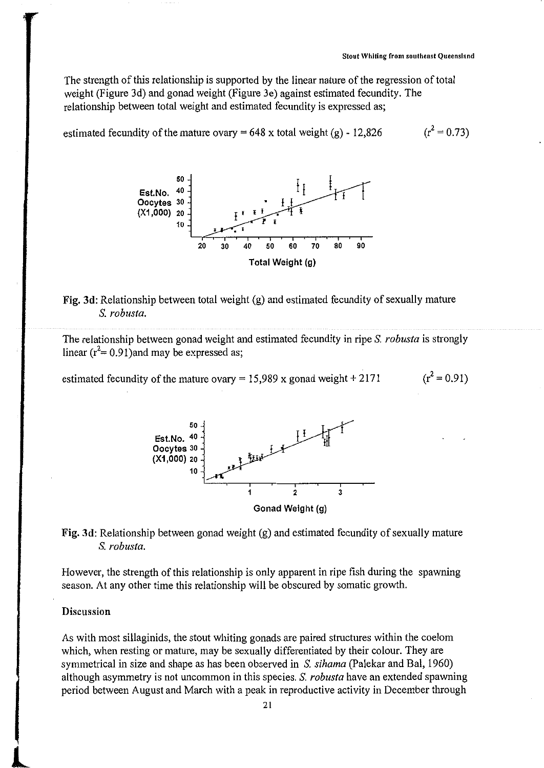The strength of this relationship is supported by the linear nature of the regression of total weight (Figure 3d) and gonad weight (Figure 3e) against estimated fecundity. The relationship between total weight and estimated fecundity is expressed as;

estimated fecundity of the mature ovary = 648 x total weight  $(g)$  - 12,826  $(r^2 = 0.73)$ 



# Fig. 3d: Relationship between total weight (g) and estimated fecundity of sexually mature S. *robusta.*

The relationship between gonad weight and estimated fecundity in ripe S. *robusta* is strongly linear  $(r^2 = 0.91)$  and may be expressed as;

estimated fecundity of the mature ovary = 15,989 x gonad weight + 2171  $(r^2 = 0.91)$ 



Fig. 3d: Relationship between gonad weight (g) and estimated fecundity of sexually mature S. *robusta.* 

However, the strength of this relationship is only apparent in ripe fish during the spawning season. At any other time this relationship will be obscured by somatic growth.

#### Discussion

As with most sillaginids, the stout whiting gonads are paired structures within the coelom which, when resting or mature, may be sexually differentiated by their colour. They are symmetrical in size and shape as has been observed in S. *sihama* (Palekar and Bal, 1960) although asymmetry is not uncommon in this species. S. *robusta* have an extended spawning period between August and March with a peak in reproductive activity in December through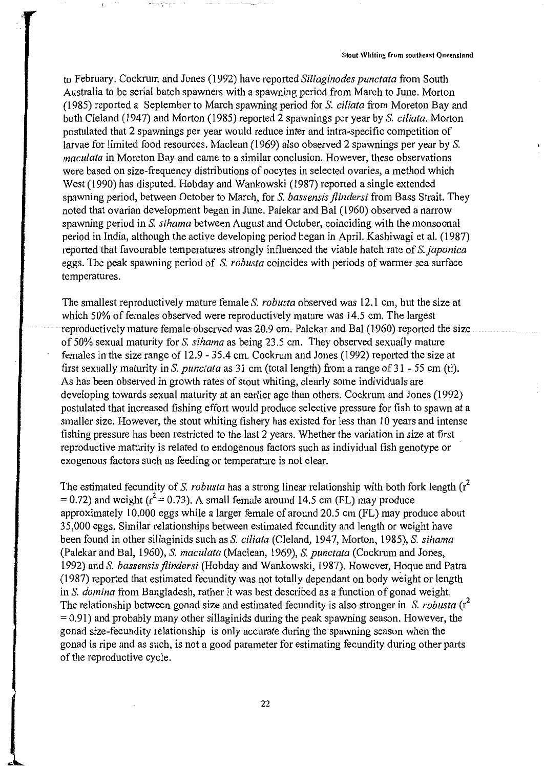to February. Cockrum and Jones (1992) have reported *Sillaginodes punctata* from South Australia to be serial batch spawners with a spawning period from March to June. Morton (1985) reported a September to March spawning period for S. *ciliata* from Moreton Bay and both Cleland (1947) and Morton (1985) reported 2 spawnings per year by S. *ciliata.* Morton postulated that 2 spawnings per year would reduce inter and intra-specific competition of larvae for limited food resources. Maclean (1969) also observed 2 spawnings per year by S. *macu/ata* in Moreton Bay and came to a similar conclusion. However, these observations were based on size-frequency distributions of oocytes in selected ovaries, a method which West (1990) has disputed. Hobday and Wankowski (1987) reported a single extended spawning period, between October to March, for S. *bassensis jlindersi* from Bass Strait. They noted that ovarian development began in June. Palekar and Bal (1960) observed a narrow spawning period in S. *sihama* between August and October, coinciding with the monsoonal period in India, although the active developing period began in April. Kashiwagi et al. ( 1987) reported that favourable temperatures strongly influenced the viable hatch rate of S. *japonica*  eggs. The peak spawning period of S. *robusta* coincides with periods of warmer sea surface temperatures.

The smallest reproductively mature female S. *robusta* observed was 12.1 cm, but the size at which 50% of females observed were reproductively mature was 14.5 cm. The largest reproductively mature female observed was 20.9 cm. Palekar and Bal (1960) reported the size of 50% sexual maturity for S. *sihama* as being 23.5 cm. They observed sexually mature females in the size range of 12.9 - 35.4 cm. Cockrum and Jones (1992) reported the size at first sexually maturity in S. *punctata* as 31 cm (total length) from a range of 31 - 55 cm (ti). As has been observed in growth rates of stout whiting, clearly some individuals are developing towards sexual maturity at an earlier age than others. Cockrum and Jones (1992) postulated that increased fishing effort would produce selective pressure for fish to spawn at a smaller size. However, the stout whiting fishery has existed for less than 10 years and intense fishing pressure has been restricted to the last 2 years. Whether the variation in size at first . reproductive maturity is related to endogenous factors such as individual fish genotype or exogenous factors such as feeding or temperature is not clear.

The estimated fecundity of S. *robusta* has a strong linear relationship with both fork length (r<sup>2</sup>)  $= 0.72$ ) and weight ( $r^2 = 0.73$ ). A small female around 14.5 cm (FL) may produce approximately 10,000 eggs while a larger female of around 20.5 cm (FL) may produce about 35,000 eggs. Similar relationships between estimated fecundity and length or weight have been found in other sillaginids such as S. *ci/iata* (Cleland, 1947, Morton, 1985), S. *sihama*  (Palekar and Bal, 1960), S. *macu/ata* (Maclean, 1969), S. *punctata* (Cockrum and Jones, 1992) and S. *bassensisjlindersi* (Hobday and Wankowski, 1987). However, Hoque and Patra (1987) reported that estimated fecundity was not totally dependant on body weight or length in S. *domina* from Bangladesh, rather it was best described as a function of gonad weight. The relationship between gonad size and estimated fecundity is also stronger in S. *robusta* (r<sup>2</sup>)  $= 0.91$ ) and probably many other sillaginids during the peak spawning season. However, the gonad size-fecundity relationship is only accurate during the spawning season when the gonad is ripe and as such, is not a good parameter for estimating fecundity during other parts of the reproductive cycle.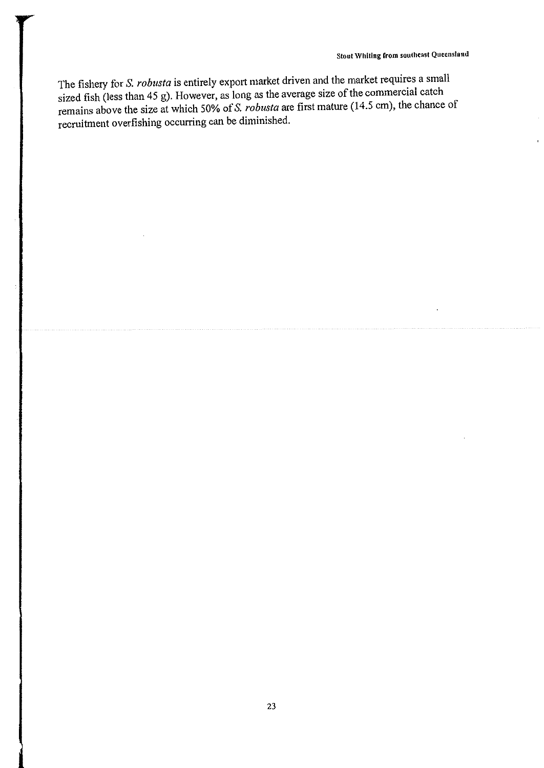The fishery for S. *robusta* is entirely export market driven and the market requires a small sized fish (less than 45 g). However, as long as the average size of the commercial catch remains above the size at which 50% of S. *robusta* are first mature (14.5 cm), the chance of recruitment overfishing occurring can be diminished.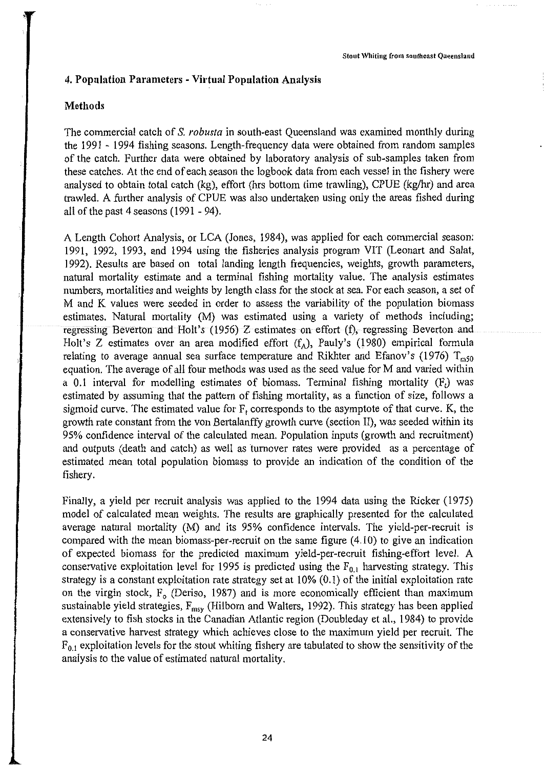# **4. Population Parameters - Virtual Population Analysis**

# **Methods**

The commercial catch of S. *robusta* in south-east Queensland was examined monthly during the 1991 - 1994 fishing seasons. Length-frequency data were obtained from random samples of the catch. Further data were obtained by laboratory analysis of sub-samples taken from these catches. At the end of each season the logbook data from each vessel in the fishery were analysed to obtain total catch (kg), effort (hrs bottom time trawling), CPUE (kg/hr) and area trawled. A further analysis of CPUE was also undertaken using only the areas fished during all of the past 4 seasons (1991 - 94).

A Length Cohort Analysis, or LCA (Jones, 1984), was applied for each commercial season: 1991, 1992, 1993, and 1994 using the fisheries analysis program VIT (Leonart and Salat, 1992). Results are based on total landing length frequencies, weights, growth parameters, natural mortality estimate and a terminal fishing mortality value. The analysis estimates numbers, mortalities and weights by length class for the stock at sea. For each season, a set of M and K values were seeded in order to assess the variability of the population biomass estimates. Natural mortality (M) was estimated using a variety of methods including; regressing Beverton and Holt's (1956) Z estimates on effort (f), regressing Beverton and Holt's Z estimates over an area modified effort  $(f_A)$ , Pauly's (1980) empirical formula relating to average annual sea surface temperature and Rikhter and Efanov's (1976)  $T_{m50}$ equation. The average of all four methods was used as the seed value for M and varied within a 0.1 interval for modelling estimates of biomass. Terminal fishing mortality  $(F_t)$  was estimated by assuming that the pattern of fishing mortality, as a function of size, follows a sigmoid curve. The estimated value for  $F_t$  corresponds to the asymptote of that curve. K, the growth rate constant from the von Bertalanffy growth curve (section II), was seeded within its 95% confidence interval of the calculated mean. Population inputs (growth and recruitment) and outputs (death and catch) as well as turnover rates were provided as a percentage of estimated mean total population biomass to provide an indication of the condition of the fishery.

Finally, a yield per recruit analysis was applied to the 1994 data using the Ricker (1975) model of calculated mean weights. The results are graphically presented for the calculated average natural mortality (M) and its 95% confidence intervals. The yield-per-recruit is compared with the mean biomass-per-recruit on the same figure  $(4.10)$  to give an indication of expected biomass for the predicted maximum yield-per-recruit fishing-effort level. A conservative exploitation level for 1995 is predicted using the  $F_{0,1}$  harvesting strategy. This strategy is a constant exploitation rate strategy set at 10% (0.1) of the initial exploitation rate on the virgin stock,  $F<sub>o</sub>$  (Deriso, 1987) and is more economically efficient than maximum sustainable yield strategies,  $F_{\text{msy}}$  (Hilborn and Walters, 1992). This strategy has been applied extensively to fish stocks in the Canadian Atlantic region (Doubleday et al., 1984) to provide a conservative harvest strategy which achieves close to the maximum yield per recruit. The  $F_{0,1}$  exploitation levels for the stout whiting fishery are tabulated to show the sensitivity of the analysis to the value of estimated natural mortality.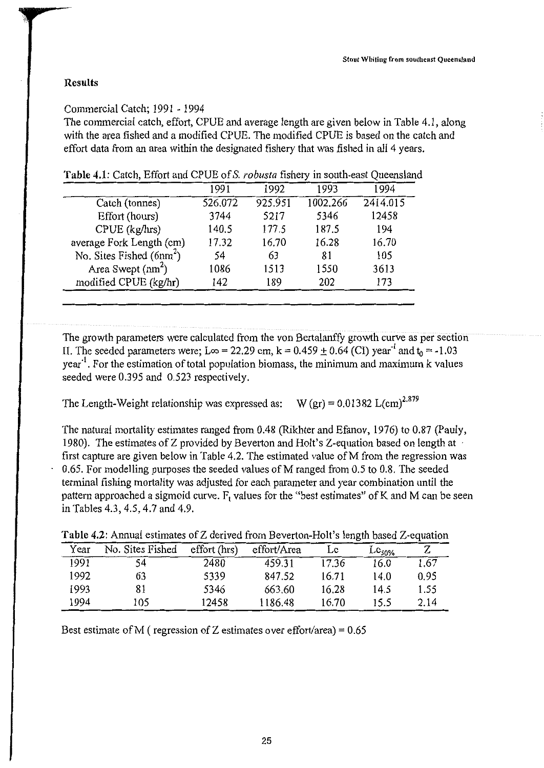#### **Results**

# Commercial Catch; 1991 - 1994

The commercial catch, effort, CPUE and average length are given below in Table 4.1, along with the area fished and a modified CPUE. The modified CPUE is based on the catch and effort data from an area within the designated fishery that was fished in all 4 years.

|                            | 1991    | 1992    | 1993     | 1994     |
|----------------------------|---------|---------|----------|----------|
| Catch (tonnes)             | 526.072 | 925.951 | 1002.266 | 2414.015 |
| Effort (hours)             | 3744    | 5217    | 5346     | 12458    |
| CPUE (kg/hrs)              | 140.5   | 177.5   | 187.5    | 194      |
| average Fork Length (cm)   | 17.32   | 16.70   | 16.28    | 16.70    |
| No. Sites Fished $(6nm^2)$ | 54      | 63      | 81       | 105      |
| Area Swept $(nm^2)$        | 1086    | 1513    | 1550     | 3613     |
| modified CPUE (kg/hr)      | 142     | 189     | 202      | 173      |
|                            |         |         |          |          |

**Table 4.1:** Catch, Effort and CPUE of S. *robusta* fishery in south-east Queensland

The growth parameters were calculated from the von Bertalanffy growth curve as per section II. The seeded parameters were; L $\infty$  = 22.29 cm, k = 0.459  $\pm$  0.64 (CI) year<sup>-1</sup> and t<sub>0</sub> = -1.03 year<sup>-1</sup>. For the estimation of total population biomass, the minimum and maximum k values seeded were 0.395 and 0.523 respectively.

The Length-Weight relationship was expressed as: W (gr) =  $0.01382$  L(cm)<sup>2.879</sup>

The natural mortality estimates ranged from 0.48 (Rikhter and Efanov, 1976) to 0.87 (Pauly, 1980). The estimates of Z provided by Beverton and Holt's Z-equation based on length at first capture are given below in Table 4.2. The estimated value of  $M$  from the regression was 0.65. For modelling purposes the seeded values of M ranged from 0.5 to 0.8. The seeded terminal fishing mortality was adjusted for each parameter and year combination until the pattern approached a sigmoid curve.  $F_t$  values for the "best estimates" of K and M can be seen in Tables 4.3, 4.5, 4.7 and 4.9.

**Table 4.2:** Annual estimates of Z derived from Beverton-Holt's length based Z-equation

| Year | No. Sites Fished | effort (hrs) | effort/Area | Lc    | $\mathop{\hbox{\rm Lc}}\nolimits_{50\%}$ | 7    |
|------|------------------|--------------|-------------|-------|------------------------------------------|------|
| 1991 | 54               | 2480         | 459.31      | 17.36 | 16.0                                     | 1.67 |
| 1992 | 63               | 5339         | 847.52      | 16.71 | 14.0                                     | 0.95 |
| 1993 | 81               | 5346         | 663.60      | 16.28 | 14.5                                     | 1.55 |
| 1994 | 05)              | 12458        | 1186.48     | 16.70 | 15.5                                     | 2.14 |

Best estimate of M (regression of Z estimates over effort/area) =  $0.65$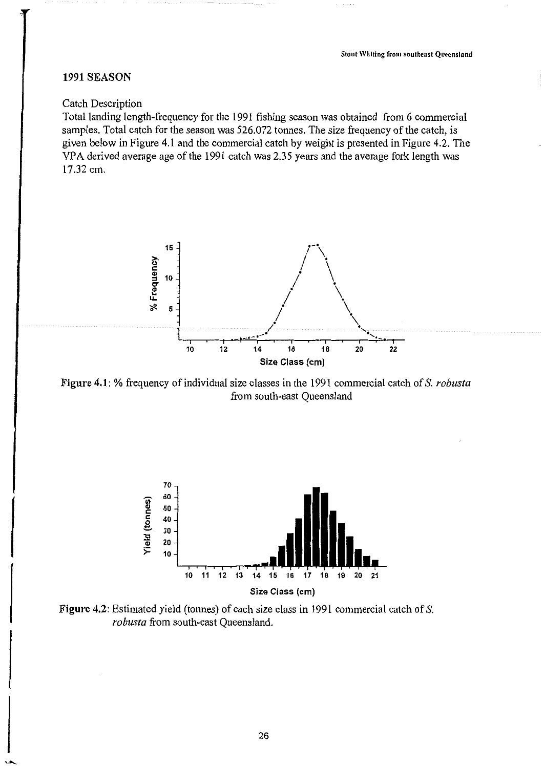# 1991 SEASON

#### Catch Description

Total landing length-frequency for the 1991 fishing season was obtained from 6 commercial samples. Total catch for the season was 526.072 tonnes. The size frequency of the catch, is given below in Figure 4.1 and the commercial catch by weight is presented in Figure 4.2. The VPA derived average age of the 1991 catch was 2.35 years and the average fork length was 17.32 cm.



Figure 4.1: % frequency of individual size classes in the 1991 commercial catch of S. *robusta*  from south-east Queensland



Figure 4.2: Estimated yield (tonnes) of each size class in 1991 commercial catch of S. *robusta* from south-east Queensland.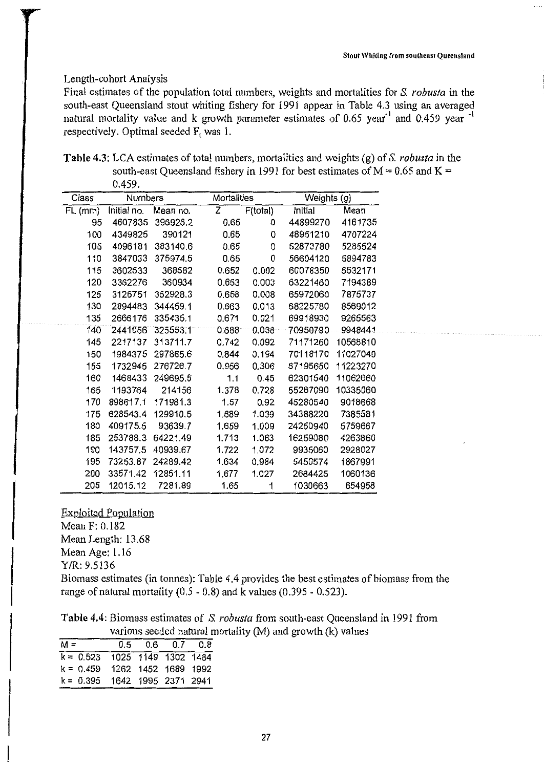# Length-cohort Analysis

Final estimates of the population total numbers, weights and mortalities for S. *robusta* in the south-east Queensland stout whiting fishery for 1991 appear in Table 4.3 using an averaged natural mortality value and k growth parameter estimates of 0.65 year<sup>-1</sup> and 0.459 year <sup>-1</sup> respectively. Optimal seeded F, was 1.

**Table 4.3:** LCA estimates of total numbers, mortalities and weights (g) of S. *robusta* in the south-east Queensland fishery in 1991 for best estimates of  $M = 0.65$  and  $K =$ 0.459.

| Class   | Numbers     |          |       | Mortalities |          | Weights (g) |
|---------|-------------|----------|-------|-------------|----------|-------------|
| FL (mm) | Initial no. | Mean no. | Z     | F(total)    | Initial  | Mean        |
| 95      | 4607835     | 396926.2 | 0.65  | 0           | 44899270 | 4161735     |
| 100     | 4349825     | 390121   | 0.65  | 0           | 48951210 | 4707224     |
| 105     | 4096181     | 383140.6 | 0.65  | 0           | 52873780 | 5285524     |
| 110     | 3847033     | 375974.5 | 0.65  | 0           | 56604120 | 5894783     |
| 115     | 3602533     | 368582   | 0.652 | 0.002       | 60078350 | 6532171     |
| 120     | 3362276     | 360934   | 0.653 | 0.003       | 63221460 | 7194389     |
| 125     | 3126751     | 352928.3 | 0.658 | 0.008       | 65972060 | 7875737     |
| 130     | 2894483     | 344459.1 | 0.663 | 0.013       | 68225780 | 8569012     |
| 135     | 2666176     | 335435.1 | 0.671 | 0.021       | 69918930 | 9265563     |
| 140     | 2441056     | 325553.1 | 0.688 | $0.038 -$   | 70950790 | 9948441     |
| 145     | 2217137     | 313711.7 | 0.742 | 0.092       | 71171260 | 10568810    |
| 150     | 1984375     | 297865.6 | 0.844 | 0.194       | 70118170 | 11027040    |
| 155     | 1732945     | 276726.7 | 0.956 | 0.306       | 67195650 | 11223270    |
| 160     | 1468433     | 249695.5 | 1.1   | 0.45        | 62301540 | 11062660    |
| 165     | 1193764     | 214156   | 1.378 | 0.728       | 55267090 | 10335060    |
| 170     | 898617.1    | 171981.3 | 1.57  | 0.92        | 45280540 | 9018668     |
| 175     | 628543.4    | 129910.5 | 1.689 | 1.039       | 34388220 | 7385581     |
| 180     | 409175.5    | 93639.7  | 1.659 | 1.009       | 24250940 | 5759667     |
| 185     | 253788.3    | 64221.49 | 1.713 | 1.063       | 16259080 | 4263860     |
| 190     | 143757.5    | 40939.67 | 1.722 | 1.072       | 9935060  | 2928027     |
| 195     | 73253.87    | 24289.42 | 1.634 | 0.984       | 5450574  | 1867991     |
| 200     | 33571.42    | 12851.11 | 1.677 | 1.027       | 2684425  | 1060136     |
| 205     | 12015.12    | 7281.89  | 1.65  | 1           | 1030663  | 654958      |

Exploited Population Mean F: 0.182 Mean Length: 13.68 Mean Age: 1.16 Y/R: 9.5136 Biomass estimates (in tonnes): Table 4.4 provides the best estimates of biomass from the

range of natural mortality  $(0.5 - 0.8)$  and k values  $(0.395 - 0.523)$ . **Table 4.4:** Biomass estimates of S. *robusta* from south-east Queensland in 1991 from

various seeded natural mortality (M) and growth (k) values

|                                 |  | $\frac{1}{2}$ . The state of $\frac{1}{2}$ is the state of $\frac{1}{2}$ |  |
|---------------------------------|--|--------------------------------------------------------------------------|--|
| $M =$                           |  | $0.5$ 0.6 0.7 0.8                                                        |  |
| $k = 0.523$ 1025 1149 1302 1484 |  |                                                                          |  |
| $k = 0.459$ 1262 1452 1689 1992 |  |                                                                          |  |
| $k = 0.395$ 1642 1995 2371 2941 |  |                                                                          |  |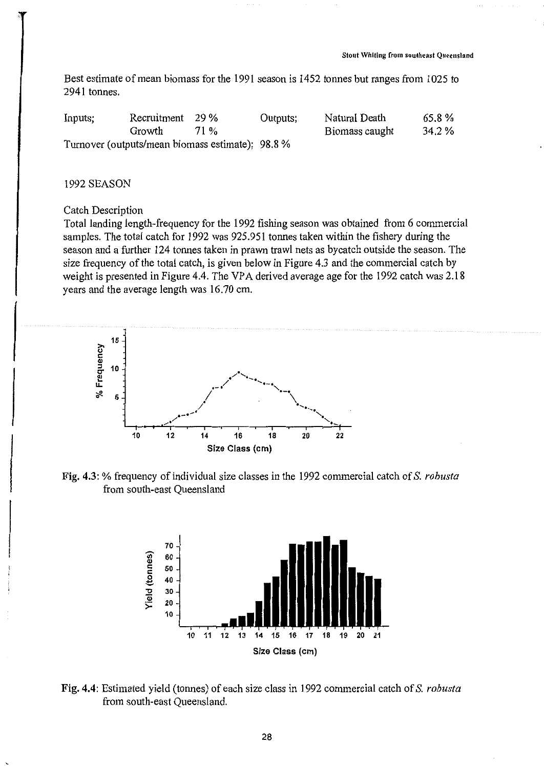Best estimate of mean biomass for the 1991 season is 1452 tonnes but ranges from 1025 to 2941 tonnes.

| Inputs;                                          | Recruitment 29 % |      | Outputs; | Natural Death  | 65.8%  |
|--------------------------------------------------|------------------|------|----------|----------------|--------|
|                                                  | Growth           | 71 % |          | Biomass caught | 34.2 % |
| Turnover (outputs/mean biomass estimate); 98.8 % |                  |      |          |                |        |

#### 1992SEASON

#### Catch Description

Total landing length-frequency for the 1992 fishing season was obtained from 6 commercial samples. The total catch for 1992 was 925.951 tonnes taken within the fishery during the season and a further 124 tonnes taken in prawn trawl nets as bycatch outside the season. The size frequency of the total catch, is given below in Figure 4.3 and the commercial catch by weight is presented in Figure 4.4. The VPA derived average age for the 1992 catch was 2.18 years and the average length was 16.70 cm.



Fig. 4.3: % frequency of individual size classes in the 1992 commercial catch of S. *robusta*  from south-east Queensland



Fig. 4.4: Estimated yield (tonnes) of each size class in 1992 commercial catch of S. *robusta*  from south-east Queensland.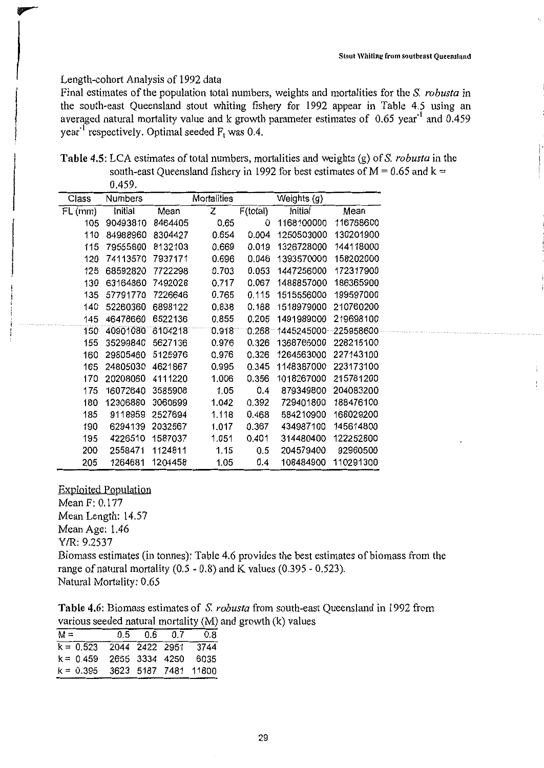#### Length-cohort Analysis of 1992 data

Final estimates of the population total numbers, weights and mortalities for the S. *robusta* in the south-east Queensland stout whiting fishery for 1992 appear in Table 4.5 using an averaged natural mortality value and k growth parameter estimates of 0.65 year<sup>-1</sup> and 0.459 year<sup>-1</sup> respectively. Optimal seeded  $F_t$  was 0.4.

**Table 4.5:** LCA estimates of total numbers, mortalities and weights (g) of S. *robusta* in the south-east Queensland fishery in 1992 for best estimates of  $M = 0.65$  and  $k =$ 0.459.

| Class     | Numbers  |         | Mortalities |          | Weights (g) |           |
|-----------|----------|---------|-------------|----------|-------------|-----------|
| $FL$ (mm) | Initial  | Mean    | Ż           | F(total) | Initial     | Mean      |
| 105       | 90493810 | 8464405 | 0.65        | 0        | 1168100000  | 116768600 |
| 110       | 84988960 | 8304427 | 0.654       | 0.004    | 1250503000  | 130201900 |
| 115       | 79555800 | 8132103 | 0.669       | 0.019    | 1326728000  | 144118000 |
| 120       | 74113570 | 7937171 | 0.696       | 0.046    | 1393570000  | 158202000 |
| 125       | 68592820 | 7722298 | 0.703       | 0.053    | 1447256000  | 172317900 |
| 130       | 63164860 | 7492028 | 0.717       | 0.067    | 1488857000  | 186365900 |
| 135       | 57791770 | 7226646 | 0.765       | 0.115    | 1515556000  | 199597000 |
| 140       | 52260360 | 6898122 | 0.838       | 0.188    | 1518979000  | 210760200 |
| 145       | 46478660 | 6522136 | 0.855       | 0.205    | 1491989000  | 219698100 |
| 150       | 40901080 | 6104218 | 0.918       | 0.268    | 1445245000  | 225958600 |
| 155       | 35299840 | 5627136 | 0.976       | 0.326    | 1368765000  | 228215100 |
| 160       | 29805460 | 5125976 | 0.976       | 0.326    | 1264563000  | 227143100 |
| 165       | 24805030 | 4621867 | 0.995       | 0.345    | 1148387000  | 223173100 |
| 170       | 20208060 | 4111220 | 1.006       | 0.356    | 1018267000  | 215781200 |
| 175       | 16072640 | 3585908 | 1.05        | 0.4      | 879349800   | 204083200 |
| 180       | 12306880 | 3060699 | 1.042       | 0.392    | 729401800   | 188476100 |
| 185       | 9118959  | 2527694 | 1.118       | 0.468    | 584210900   | 168029200 |
| 190       | 6294139  | 2032567 | 1.017       | 0.367    | 434987100   | 145614800 |
| 195       | 4226510  | 1587037 | 1.051       | 0.401    | 314480400   | 122252800 |
| 200       | 2558471  | 1124811 | 1.15        | 0.5      | 204579400   | 92960500  |
| 205       | 1264681  | 1204458 | 1.05        | 0.4      | 108484900   | 110291300 |

Exploited Population Mean F: 0.177 Mean Length: 14.57 Mean Age: 1.46 Y/R: 9.2537 Biomass estimates (in tonnes): Table 4.6 provides the best estimates of biomass from the range of natural mortality  $(0.5 - 0.8)$  and K values  $(0.395 - 0.523)$ .

Natural Mortality: 0.65

| Table 4.6: Biomass estimates of S. robusta from south-east Queensland in 1992 from |
|------------------------------------------------------------------------------------|
| various seeded natural mortality (M) and growth (k) values                         |

| $M =$                            | $0.5$ 0.6 0.7 | 0.8 |
|----------------------------------|---------------|-----|
| $k = 0.523$ 2044 2422 2951 3744  |               |     |
| $k = 0.459$ 2655 3334 4250 6035  |               |     |
| $k = 0.395$ 3623 5187 7481 11800 |               |     |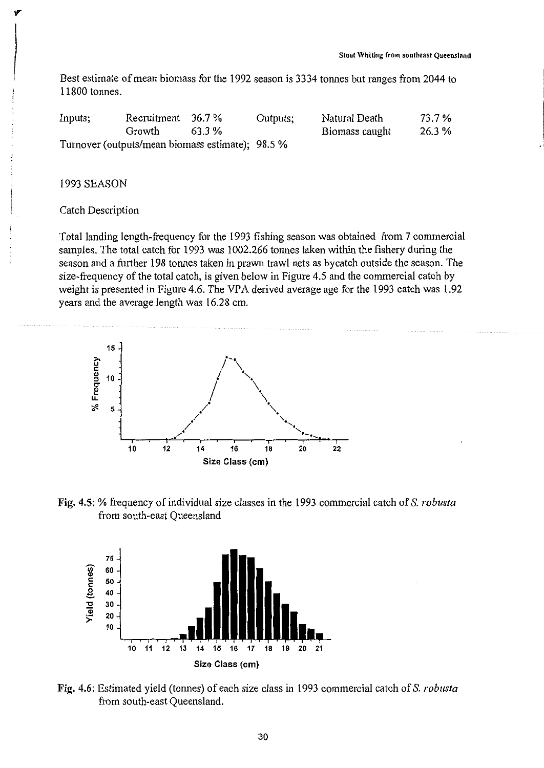Best estimate of mean biomass for the 1992 season is 3334 tonnes but ranges from 2044 to 11800 tonnes.

| Inputs; | Recruitment $36.7\%$                             |        | Outputs; | Natural Death  | 73.7 % |
|---------|--------------------------------------------------|--------|----------|----------------|--------|
|         | Growth                                           | 63.3 % |          | Biomass caught | 26.3 % |
|         | Turnover (outputs/mean biomass estimate); 98.5 % |        |          |                |        |

#### 1993 SEASON

# Catch Description

Total landing length-frequency for the 1993 fishing season was obtained from 7 commercial samples. The total catch for 1993 was 1002.266 tonnes taken within the fishery during the season and a further 198 tonnes taken in prawn trawl nets as bycatch outside the season. The size-frequency of the total catch, is given below in Figure 4.5 and the commercial catch by weight is presented in Figure 4.6. The VPA derived average age for the 1993 catch was 1.92 years and the average length was 16.28 cm.



Fig. 4.5: % frequency of individual size classes in the 1993 commercial catch of S. *robusta*  from south-east Queensland



Fig. 4.6: Estimated yield (tonnes) of each size class in 1993 commercial catch of S. *robusta*  from south-east Queensland.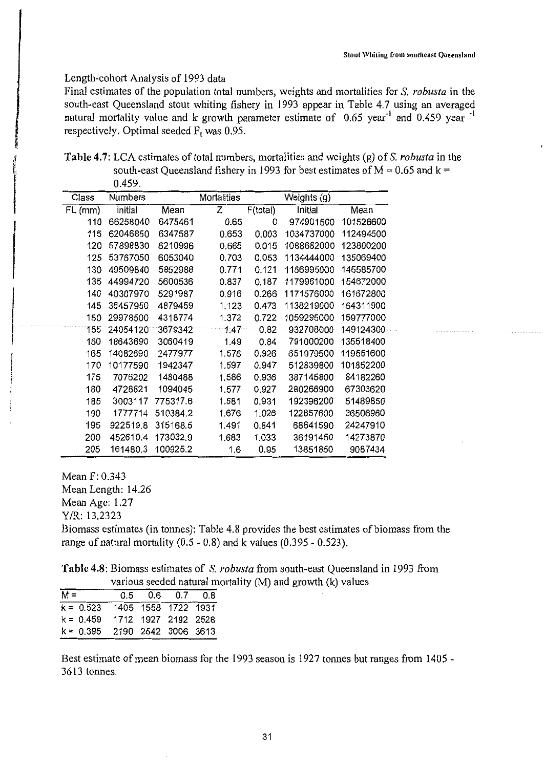#### Length-cohort Analysis of 1993 data

Final estimates of the population total numbers, weights and mortalities for S. *robusta* in the south-east Queensland stout whiting fishery in 1993 appear in Table 4.7 using an averaged natural mortality value and k growth parameter estimate of 0.65 year<sup>-1</sup> and 0.459 year<sup>-1</sup> respectively. Optimal seeded  $F_t$  was 0.95.

**Table** 4.7: LCA estimates of total numbers, mortalities and weights (g) of S. *robusta* in the south-east Queensland fishery in 1993 for best estimates of  $M = 0.65$  and  $k =$ 0.459.

| Class  | Numbers  |          | Mortalities |          | Weights (g) |           |
|--------|----------|----------|-------------|----------|-------------|-----------|
| FL(mm) | initial  | Mean     | Z           | F(total) | Initial     | Mean      |
| 110    | 66258040 | 6475461  | 0.65        | 0        | 974901500   | 101526600 |
| 115    | 62046850 | 6347587  | 0.653       | 0.003    | 1034737000  | 112494500 |
| 120    | 57898830 | 6210996  | 0.665       | 0.015    | 1088682000  | 123800200 |
| 125    | 53767050 | 6053040  | 0.703       | 0.053    | 1134444000  | 135069400 |
| 130    | 49509840 | 5852988  | 0.771       | 0.121    | 1166995000  | 145585700 |
| 135    | 44994720 | 5600536  | 0.837       | 0.187    | 1179961000  | 154672000 |
| 140    | 40307970 | 5291987  | 0.916       | 0.266    | 1171576000  | 161672800 |
| 145    | 35457950 | 4879459  | 1.123       | 0.473    | 1138219000  | 164311900 |
| 150    | 29978500 | 4318774  | 1.372       | 0.722    | 1059295000  | 159777000 |
| 155    | 24054120 | 3679342  | 1:47        | 0.82     | 932708000   | 149124300 |
| 160    | 18643690 | 3060419  | 1.49        | 0.84     | 791000200   | 135518400 |
| 165    | 14082690 | 2477977  | 1.576       | 0.926    | 651979500   | 119551600 |
| 170    | 10177590 | 1942347  | 1.597       | 0.947    | 512839800   | 101852200 |
| 175    | 7076202  | 1480488  | 1.586       | 0.936    | 387145800   | 84182260  |
| 180    | 4728821  | 1094045  | 1.577       | 0.927    | 280266900   | 67303620  |
| 185    | 3003117  | 775317.6 | 1.581       | 0.931    | 192396200   | 51489850  |
| 190    | 1777714  | 510384.2 | 1.676       | 1.026    | 122857600   | 36506960  |
| 195    | 922519.8 | 315168.5 | 1.491       | 0.841    | 68641590    | 24247910  |
| 200    | 452610.4 | 173032.9 | 1.683       | 1.033    | 36191450    | 14273870  |
| 205    | 161480.3 | 100925.2 | 1.6         | 0.95     | 13851850    | 9087434   |

Mean F: 0.343 Mean Length: 14.26 Mean Age: 1.27 Y!R: 13.2323 Biomass estimates (in tonnes): Table 4.8 provides the best estimates of biomass from the range of natural mortality  $(0.5 - 0.8)$  and k values  $(0.395 - 0.523)$ .

**Table 4.8:** Biomass estimates of S. *robusta* from south-east Queensland in 1993 from various seeded natural mortality (M) and growth  $(k)$  values

| $M =$                           |                     | $0.5$ 0.6 0.7 0.8 |  |
|---------------------------------|---------------------|-------------------|--|
| $k = 0.523$ 1405 1558 1722 1931 |                     |                   |  |
| $k = 0.459$                     | 1712 1927 2192 2528 |                   |  |
| $k = 0.395$ 2190 2542 3006 3613 |                     |                   |  |

Best estimate of mean biomass for the 1993 season is 1927 tonnes but ranges from 1405 - 3613 tonnes.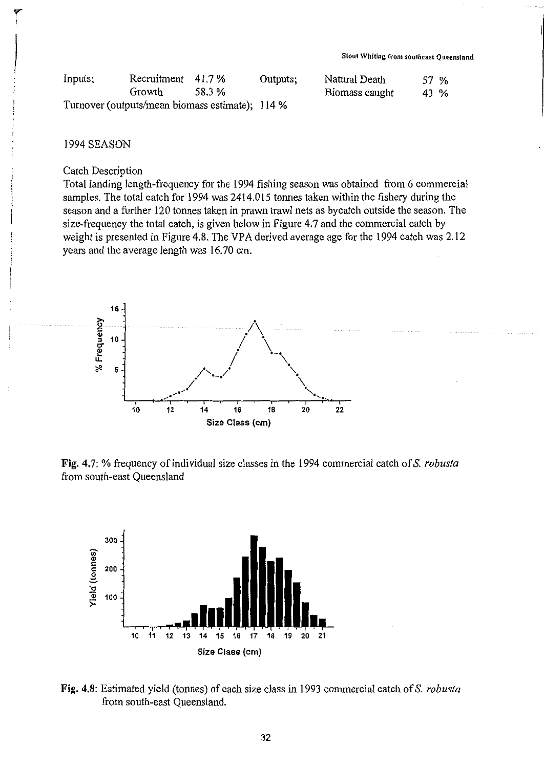|         |                                                 |        |          | Stout Whiting from southeast Queensland |      |  |
|---------|-------------------------------------------------|--------|----------|-----------------------------------------|------|--|
| Inputs; | Recruitment                                     | 41.7 % | Outputs; | Natural Death                           | 57 % |  |
|         | Growth.                                         | 58.3%  |          | Biomass caught                          | 43 % |  |
|         | Turnover (outputs/mean biomass estimate); 114 % |        |          |                                         |      |  |

#### 1994 SEASON

#### Catch Description

Total landing length-frequency for the 1994 fishing season was obtained from 6 commercial samples. The total catch for 1994 was 2414.015 tonnes taken within the fishery during the season and a further 120 tonnes taken in prawn trawl nets as bycatch outside the season. The size-frequency the total catch, is given below in Figure 4.7 and the commercial catch by weight is presented in Figure 4.8. The VPA derived average age for the 1994 catch was 2.12 years and the average length was 16.70 cm.



Fig. 4. 7: % frequency of individual size classes in the 1994 commercial catch of S. *robusta*  from south-east Queensland



Fig. 4.8: Estimated yield (tonnes) of each size class in 1993 commercial catch of S. *robusta*  from south-east Queensland.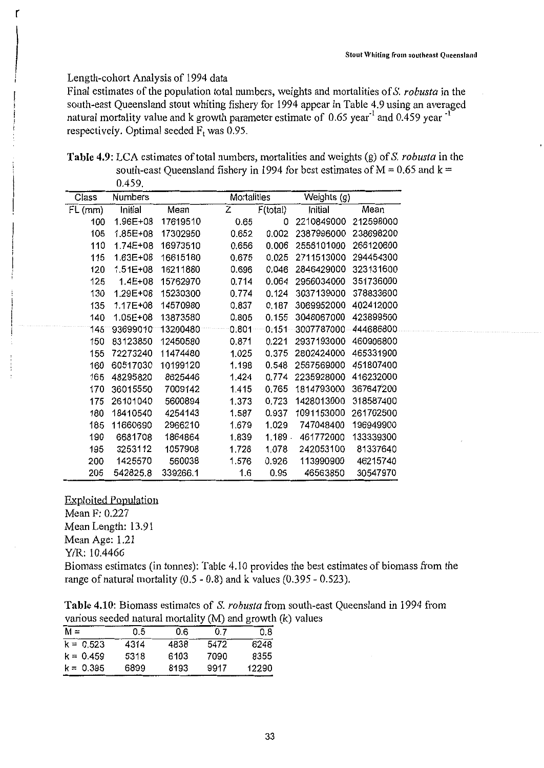#### Length-cohort Analysis of 1994 data

Final estimates of the population total numbers, weights and mortalities of S. *robusta* in the south-east Queensland stout whiting fishery for 1994 appear in Table 4.9 using an averaged natural mortality value and k growth parameter estimate of  $0.65$  year<sup>-1</sup> and  $0.459$  year<sup>-1</sup> respectively. Optimal seeded  $\overline{F}_t$  was 0.95.

**Table 4.9:** LCA estimates of total numbers, mortalities and weights (g) of S. *robusta* in the south-east Queensland fishery in 1994 for best estimates of  $M = 0.65$  and  $k =$ 0.459.

| Class     | <b>Numbers</b> |          | Mortalities |          | Weights (g) |           |
|-----------|----------------|----------|-------------|----------|-------------|-----------|
| $FL$ (mm) | Initial        | Mean     | z           | F(total) | Initial     | Mean      |
| 100       | 1.96E+08       | 17619510 | 0.65        | 0        | 2210849000  | 212598000 |
| 105       | 1.85E+08       | 17302950 | 0.652       | 0.002    | 2387996000  | 238698200 |
| 110       | 1.74E+08       | 16973510 | 0.656       | 0.006    | 2556101000  | 266120600 |
| 115       | 1.63E+08       | 16615180 | 0.675       | 0.025    | 2711513000  | 294454300 |
| 120       | 1.51E+08       | 16211880 | 0.696       | 0.046    | 2846429000  | 323131600 |
| 125       | 1.4E+08        | 15762970 | 0.714       | 0.064    | 2956034000  | 351736000 |
| 130       | 1.29E+08       | 15230300 | 0.774       | 0.124    | 3037139000  | 378833600 |
| 135       | 1.17E+08       | 14570980 | 0.837       | 0.187    | 3069952000  | 402412000 |
| 140       | 1.05E+08       | 13873580 | 0.805       | 0.155    | 3048067000  | 423899500 |
| 145       | 93699010       | 13200480 | 0.801       | 0.151    | 3007787000  | 444686800 |
| 150       | 83123850       | 12450580 | 0.871       | 0.221    | 2937193000  | 460906800 |
| 155       | 72273240       | 11474480 | 1.025       | 0.375    | 2802424000  | 465331900 |
| 160       | 60517030       | 10199120 | 1.198       | 0.548    | 2567569000  | 451807400 |
| 165       | 48295820       | 8625446  | 1.424       | 0.774    | 2235928000  | 416232000 |
| 170       | 36015550       | 7009142  | 1.415       | 0.765    | 1814793000  | 367647200 |
| 175       | 26101040       | 5600894  | 1.373       | 0.723    | 1428013000  | 318587400 |
| 180       | 18410540       | 4254143  | 1.587       | 0.937    | 1091153000  | 261702500 |
| 185       | 11660690       | 2966210  | 1.679       | 1.029    | 747048400   | 196949900 |
| 190       | 6681708        | 1864864  | 1.839       | 1.189.   | 461772000   | 133339300 |
| 195       | 3253112        | 1057908  | 1.728       | 1.078    | 242053100   | 81337640  |
| 200       | 1425570        | 560038   | 1.576       | 0.926    | 113990900   | 46215740  |
| 205       | 542825.8       | 339266.1 | 1.6         | 0.95     | 46563850    | 30547970  |

**Exploited Population** Mean F: 0.227 Mean Length: 13.91 Mean Age: 1.21 Y/R: 10.4466

Biomass estimates (in tonnes): Table 4.10 provides the best estimates of biomass from the range of natural mortality (0.5 - 0.8) and k values (0.395 - 0.523).

| Table 4.10: Biomass estimates of S. robusta from south-east Queensland in 1994 from |  |
|-------------------------------------------------------------------------------------|--|
| various seeded natural mortality (M) and growth (k) values                          |  |

| $M =$       | 0.5  | 0.6  | 0 Z  | 0.8   |
|-------------|------|------|------|-------|
| $k = 0.523$ | 4314 | 4838 | 5472 | 6248  |
| $k = 0.459$ | 5318 | 6103 | 7090 | 8355  |
| $k = 0.395$ | 6899 | 8193 | 9917 | 12290 |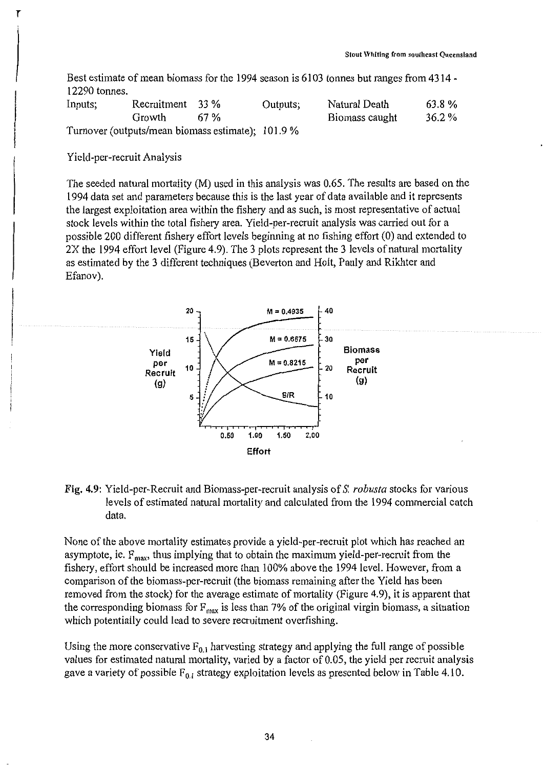Best estimate of mean biomass for the 1994 season is 6103 tonnes but ranges from 4314 - 12290 tonnes.

| Inputs: | Recruitment 33 %                                  |      | Outputs; | Natural Death  | 63.8%    |
|---------|---------------------------------------------------|------|----------|----------------|----------|
|         | Growth                                            | 67 % |          | Biomass caught | $36.2\%$ |
|         | Turnover (outputs/mean biomass estimate); 101.9 % |      |          |                |          |

# Yield-per-recruit Analysis

The seeded natural mortality (M) used in this analysis was 0.65. The results are based on the 1994 data set and parameters because this is the last year of data available and it represents the largest exploitation area within the fishery and as such, is most representative of actual stock levels within the total fishery area. Yield-per-recruit analysis was carried out for a possible 200 different fishery effort levels beginning at no fishing effort (0) and extended to 2X the 1994 effort level (Figure 4.9). The 3 plots represent the 3 levels of natural mortality as estimated by the 3 different techniques (Beverton and Holt, Pauly and Rikhter and Efanov).



# Fig. 4.9: Yield-per-Recruit and Biomass-per-recruit analysis of *S. robusta* stocks for various levels of estimated natural mortality and calculated from the 1994 commercial catch data.

None of the above mortality estimates provide a yield-per-recruit plot which has reached an asymptote, ie.  $F_{\text{max}}$ , thus implying that to obtain the maximum yield-per-recruit from the fishery, effort should be increased more than 100% above the 1994 level. However, from a comparison of the biomass-per-recruit (the biomass remaining after the Yield has been removed from the stock) for the average estimate of mortality (Figure 4.9), it is apparent that the corresponding biomass for  $F_{\text{max}}$  is less than 7% of the original virgin biomass, a situation which potentially could lead to severe recruitment overfishing.

Using the more conservative  $F_{0,1}$  harvesting strategy and applying the full range of possible values for estimated natural mortality, varied by a factor of 0.05, the yield per recruit analysis gave a variety of possible  $F_{0,1}$  strategy exploitation levels as presented below in Table 4.10.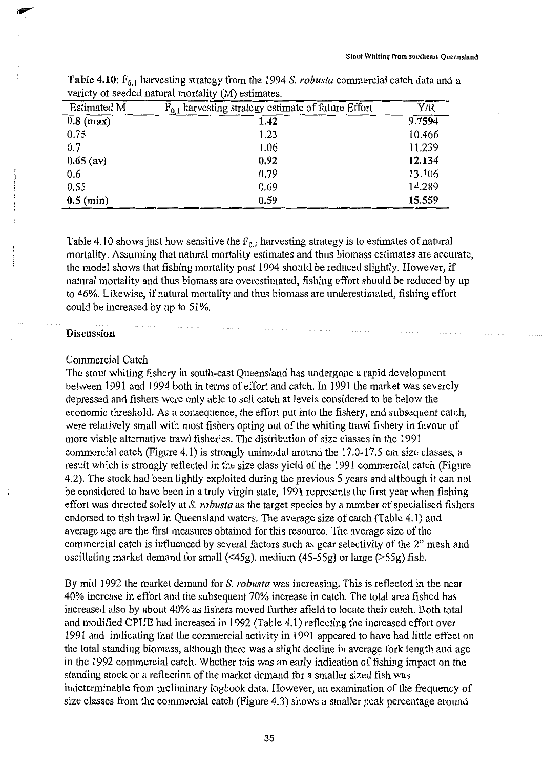| <b>Estimated M</b> | $F_{0,1}$ harvesting strategy estimate of future Effort | Y/R    |
|--------------------|---------------------------------------------------------|--------|
| $0.8$ (max)        | 1.42                                                    | 9.7594 |
| 0.75               | 1.23                                                    | 10.466 |
| 0.7                | 1.06                                                    | 11.239 |
| $0.65$ (av)        | 0.92                                                    | 12.134 |
| 0.6                | 0.79                                                    | 13.106 |
| 0.55               | 0.69                                                    | 14.289 |
| $0.5$ (min)        | 0.59                                                    | 15.559 |

Table 4.10: F<sub>0.1</sub> harvesting strategy from the 1994 S. *robusta* commercial catch data and a variety of seeded natural mortality (M) estimates.

Table 4.10 shows just how sensitive the  $F_{0,i}$  harvesting strategy is to estimates of natural mortality. Assuming that natural mortality estimates and thus biomass estimates are accurate, the model shows that fishing mortality post 1994 should be reduced slightly. However, if natural mortality and thus biomass are overestimated, fishing effort should be reduced by up to 46%. Likewise, if natural mortality and thus biomass are underestimated, fishing effort could be increased by up to 51%.

# **Discussion**

#### Commercial Catch

The stout whiting fishery in south-east Queensland has undergone a rapid development between 1991 and 1994 both in terms of effort and catch. In 1991 the market was severely depressed and fishers were only able to sell catch at levels considered to be below the economic threshold. As a consequence, the effort put into the fishery, and subsequent catch, were relatively small with most fishers opting out of the whiting trawl fishery in favour of more viable alternative trawl fisheries. The distribution of size classes in the 1991 commercial catch (Figure 4.1) is strongly unimodal around the 17.0-17.5 cm size classes, a result which is strongly reflected in the size class yield of the 1991 commercial catch (Figure 4.2). The stock had been lightly exploited during the previous 5 years and although it can not be considered to have been in a truly virgin state, 1991 represents the first year when fishing effort was directed solely at S. *robusta* as the target species by a number of specialised fishers endorsed to fish trawl in Queensland waters. The average size of catch (Table 4.1) and average age are the first measures obtained for this resource. The average size of the commercial catch is influenced by several factors such as gear selectivity of the 2" mesh and oscillating market demand for small (<45g), medium (45-55g) or large (>55g) fish.

By mid 1992 the market demand for S. *robusta* was increasing. This is reflected in the near 40% increase in effort and the subsequent 70% increase in catch. The total area fished has increased also by about 40% as fishers moved further afield to locate their catch. Both total and modified CPUE had increased in 1992 (Table 4.1) reflecting the increased effort over 1991 and indicating that the commercial activity in 1991 appeared to have had little effect on the total standing biomass, although there was a slight decline in average fork length and age in the 1992 commercial catch. Whether this was an early indication of fishing impact on the standing stock or a reflection of the market demand for a smaller sized fish was indeterminable from preliminary logbook data. However, an examination of the frequency of size classes from the commercial catch (Figure 4.3) shows a smaller peak percentage around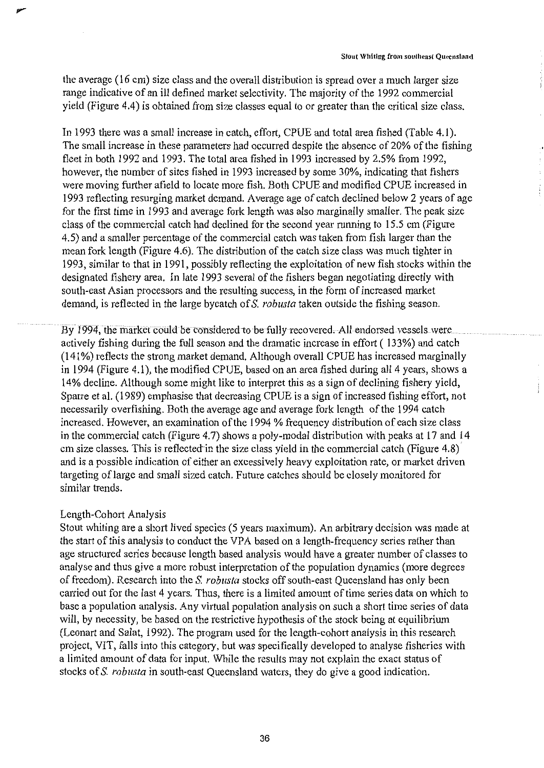the average (16 cm) size class and the overall distribution is spread over a much larger size range indicative of an ill defined market selectivity. The majority of the 1992 commercial yield (Figure 4.4) is obtained from size classes equal to or greater than the critical size class.

In 1993 there was a small increase in catch, effort, CPUE and total area fished (Table 4.1 ). The small increase in these parameters had occurred despite the absence of 20% of the fishing fleet in both 1992 and 1993. The total area fished in 1993 increased by 2.5% from 1992, however, the number of sites fished in 1993 increased by some 30%, indicating that fishers were moving further afield to locate more fish. Both CPUE and modified CPUE increased in 1993 reflecting resurging market demand. Average age of catch declined below 2 years of age for the first time in 1993 and average fork length was also marginally smaller. The peak size class of the commercial catch had declined for the second year running to 15.5 cm (Figure 4.5) and a smaller percentage of the commercial catch was taken from fish larger than the mean fork length (Figure 4.6). The distribution of the catch size class was much tighter in 1993, similar to that in 1991, possibly reflecting the exploitation of new fish stocks within the designated fishery area. In late 1993 several of the fishers began negotiating directly with south-east Asian processors and the resulting success, in the form of increased market demand, is reflected in the large by catch of S. *robusta* taken outside the fishing season.

By 1994, the market could be considered to be fully recovered. All endorsed vessels were actively fishing during the full season and the dramatic increase in effort ( 133%) and catch (141%) reflects the strong market demand. Although overall CPUE has increased marginally in 1994 (Figure 4.1 ), the modified CPUE, based on an area fished during all 4 years, shows a 14% decline. Although some might like to interpret this as a sign of declining fishery yield, Sparre et al. (1989) emphasise that decreasing CPUE is a sign of increased fishing effort, not necessarily overfishing. Both the average age and average fork length of the 1994 catch increased. However, an examination of the 1994 % frequency distribution of each size class in the commercial catch (Figure 4.7) shows a poly-modal distribution with peaks at 17 and 14 cm size classes. This is reflected' in the size class yield in the commercial catch (Figure 4.8) and is a possible indication of either an excessively heavy exploitation rate, or market driven targeting of large and small sized catch. Future catches should be closely monitored for similar trends.

# Length-Cohort Analysis

Stout whiting are a short lived species (5 years maximum). An arbitrary decision was made at the start of this analysis to conduct the VPA based on a length-frequency series rather than age structured series because length based analysis would have a greater number of classes to analyse and thus give a more robust interpretation of the population dynamics (more degrees of freedom). Research into the S. *robusta* stocks off south-east Queensland has only been carried out for the last 4 years. Thus, there is a limited amount of time series data on which to base a population analysis. Any virtual population analysis on such a short time series of data will, by necessity, be based on the restrictive hypothesis of the stock being at equilibrium (Leonart and Salat, 1992). The program used for the length-cohort analysis in this research project, VIT, falls into this category, but was specifically developed to analyse fisheries with a limited amount of data for input. While the results may not explain the exact status of stocks of S. *robusta* in south-east Queensland waters, they do give a good indication.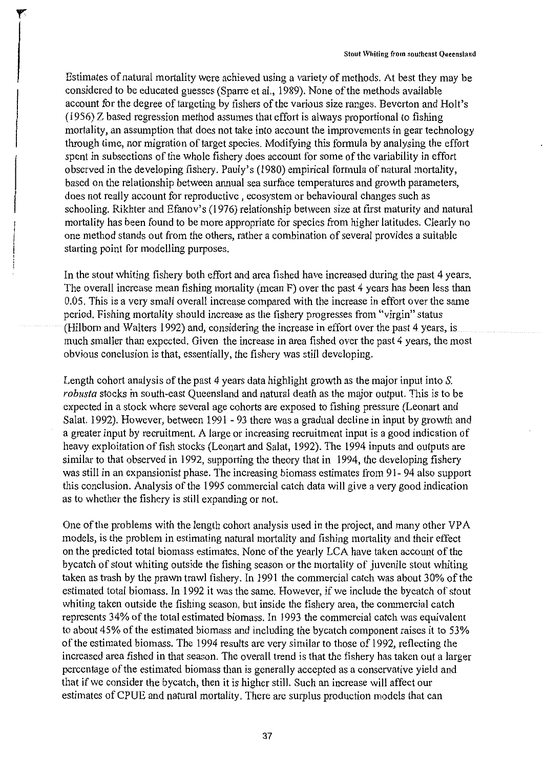Estimates of natural mortality were achieved using a variety of methods. At best they may be considered to be educated guesses (Sparre et al., 1989). None of the methods available account for the degree of targeting by fishers of the various size ranges. Beverton and Holt's (1956) Z based regression method assumes that effort is always proportional to fishing mortality, an assumption that does not take into account the improvements in gear technology through time, nor migration of target species. Modifying this formula by analysing the effort spent in subsections of the whole fishery does account for some of the variability in effort observed in the developing fishery. Pauly's (1980) empirical formula of natural mortality, based on the relationship between annual sea surface temperatures and growth parameters, does not really account for reproductive , ecosystem or behavioural changes such as schooling. Rikhter and Efanov's (1976) relationship between size at first maturity and natural mortality has been found to be more appropriate for species from higher latitudes. Clearly no one method stands out from the others, rather a combination of several provides a suitable starting point for modelling purposes.

In the stout whiting fishery both effort and area fished have increased during the past 4 years. The overall increase mean fishing mortality (mean F) over the past 4 years has been less than 0.05. This is a very small overall increase compared with the increase in effort over the same period. Fishing mortality should increase as the fishery progresses from "virgin" status (Hilborn and Walters 1992) and, considering the increase in effort over the past 4 years, is much smaller than expected. Given the increase in area fished over the past 4 years, the most obvious conclusion is that, essentially, the fishery was still developing.

Length cohort analysis of the past 4 years data highlight growth as the major input into *S. robusta* stocks in south-east Queensland and natural death as the major output. This is to be expected in a stock where several age cohorts are exposed to fishing pressure (Leonart and Salat. 1992). However, between 1991 - 93 there was a gradual decline in input by growth and a greater input by recruitment. A large or increasing recruitment input is a good indication of heavy exploitation of fish stocks (Leonart and Salat, 1992). The 1994 inputs and outputs are similar to that observed in 1992, supporting the theory that in 1994, the developing fishery was still in an expansionist phase. The increasing biomass estimates from 91- 94 also support this conclusion. Analysis of the 1995 commercial catch data will give a very good indication as to whether the fishery is still expanding or not.

One of the problems with the length cohort analysis used in the project, and many other VPA models, is the problem in estimating natural motiality and fishing mortality and their effect on the predicted total biomass estimates. None of the yearly LCA have taken account of the bycatch of stout whiting outside the fishing season or the mortality of juvenile stout whiting taken as trash by the prawn trawl fishery. In 1991 the commercial catch was about 30% of the estimated total biomass. In 1992 it was the same. However, if we include the bycatch of stout whiting taken outside the fishing season, but inside the fishery area, the commercial catch represents 34% of the total estimated biomass. In 1993 the commercial catch was equivalent to about 45% of the estimated biomass and including the bycatch component raises it to 53% of the estimated biomass. The 1994 results are very similar to those of 1992, reflecting the increased area fished in that season. The overall trend is that the fishery has taken out a larger percentage of the estimated biomass than is generally accepted as a conservative yield and that if we consider the bycatch, then it is higher still. Such an increase will affect our estimates of CPUE and natural mortality. There are surplus production models that can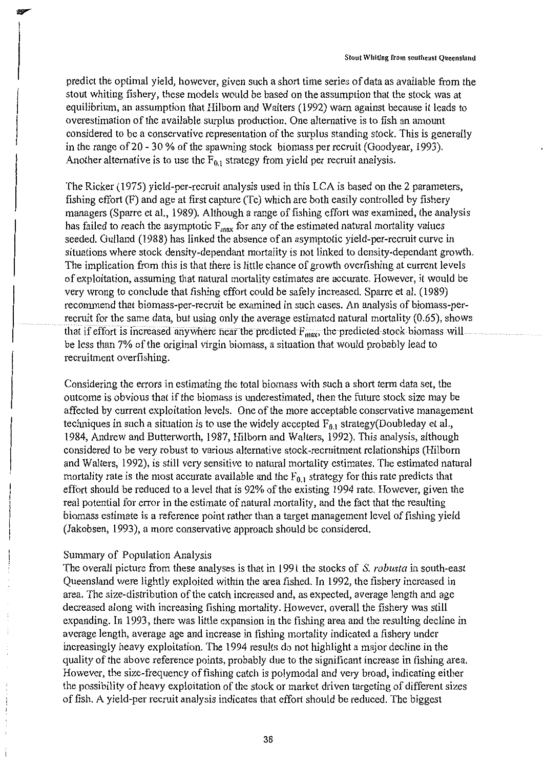predict the optimal yield, however, given such a short time series of data as available from the stout whiting fishery, these models would be based on the assumption that the stock was at equilibrium, an assumption that Hilborn and Walters (1992) warn against because it leads to overestimation of the available surplus production. One alternative is to fish an amount considered to be a conservative representation of the surplus standing stock. This is generally in the range of 20 - 30 % of the spawning stock biomass per recruit (Goodyear, 1993). Another alternative is to use the  $F_{0,1}$  strategy from yield per recruit analysis.

The Ricker (1975) yield-per-recruit analysis used in this LCA is based on the 2 parameters, fishing effort (F) and age at first capture (Tc) which are both easily controlled by fishery managers (Sparre et al., 1989). Although a range of fishing effort was examined, the analysis has failed to reach the asymptotic  $F_{\text{max}}$  for any of the estimated natural mortality values seeded. Gulland (1988) has linked the absence of an asymptotic yield-per-recruit curve in situations where stock density-dependant mortality is not linked to density-dependant growth. The implication from this is that there is little chance of growth overfishing at current levels of exploitation, assuming that natural mortality estimates are accurate. However, it would be very wrong to conclude that fishing effort could be safely increased. Sparre et al. (1989) recommend that biomass-per-recruit be examined in such cases. An analysis of biomass-perrecruit for the same data, but using only the average estimated natural mortality (0.65), shows that if effort is increased anywhere near the predicted  $F_{\text{max}}$ , the predicted stock biomass will be less than 7% of the original virgin biomass, a situation that would probably lead to recruitment overfishing.

Considering the errors in estimating the total biomass with such a short term data set, the outcome is obvious that if the biomass is underestimated, then the future stock size may be affected by current exploitation levels. One of the more acceptable conservative management techniques in such a situation is to use the widely accepted  $F_{0,1}$  strategy(Doubleday et al., 1984, Andrew and Butterworth, 1987, Hilborn and Walters, 1992). This analysis, although considered to be very robust to various alternative stock-recruitment relationships (Hilborn and Walters, 1992), is still very sensitive to natural mortality estimates. The estimated natural mortality rate is the most accurate available and the  $F_{0,1}$  strategy for this rate predicts that effort should be reduced to a level that is 92% of the existing 1994 rate. However, given the real potential for error in the estimate of natural mortality, and the fact that the resulting biomass estimate is a reference point rather than a target management level of fishing yield (Jakobsen, 1993), a more conservative approach should be considered.

# Summary of Population Analysis

The overall picture from these analyses is that in 1991 the stocks of S. *robusta* in south-east Queensland were lightly exploited within the area fished. In 1992, the fishery increased in area. The size-distribution of the catch increased and, as expected, average length and age decreased along with increasing fishing mortality. However, overall the fishery was still expanding. In 1993, there was little expansion in the fishing area and the resulting decline in average length, average age and increase in fishing mortality indicated a fishery under increasingly heavy exploitation. The 1994 results do not highlight a major decline in the quality of the above reference points, probably due to the significant increase in fishing area. However, the size-frequency of fishing catch is polymodal and very broad, indicating either the possibility of heavy exploitation of the stock or market driven targeting of different sizes of fish. A yield-per recruit analysis indicates that effort should be reduced. The biggest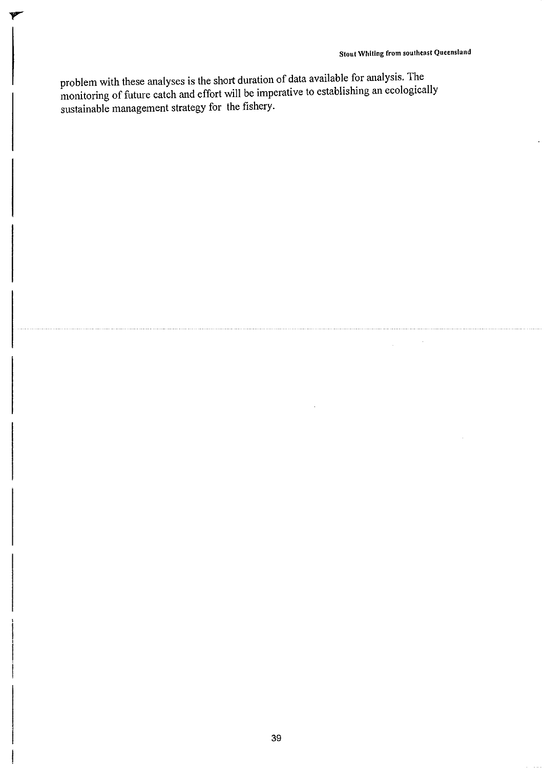÷,

J.

problem with these analyses is the short duration of data available for analysis. The monitoring of future catch and effort will be imperative to establishing an ecologically sustainable management strategy for the fishery.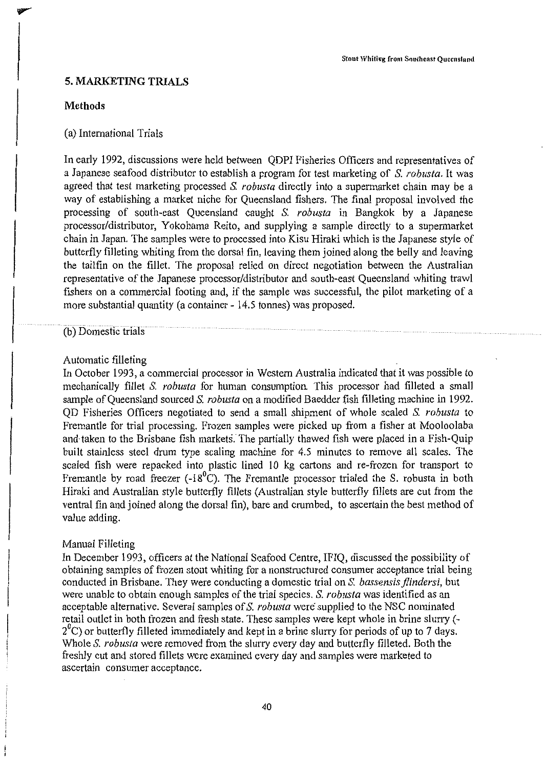# **5. MARKETING TRIALS**

#### **Methods**

# (a) International Trials

In early 1992, discussions were held between QDPI Fisheries Officers and representatives of a Japanese seafood distributor to establish a program for test marketing of S. *robusta.* It was agreed that test marketing processed S. *robusta* directly into a supermarket chain may be a way of establishing a market niche for Queensland fishers. The final proposal involved the processing of south-east Queensland caught S. *robusta* in Bangkok by a Japanese processor/distributor, Yokohama Reito, and supplying a sample directly to a supermarket chain in Japan. The samples were to processed into Kisu Hiraki which is the Japanese style of butterfly filleting whiting from the dorsal fin, leaving them joined along the belly and leaving the tailfin on the fillet. The proposal relied on direct negotiation between the Australian representative of the Japanese processor/distributor and south-east Queensland whiting trawl fishers on a commercial footing and, if the sample was successful, the pilot marketing of a more substantial quantity (a container - 14.5 tonnes) was proposed.

# (b) Domestic trials

#### Automatic filleting

In October 1993, a commercial processor in Western Australia indicated that it was possible to mechanically fillet S. *robusta* for human consumption This processor had filleted a small sample of Queensland sourced S. *robusta* on a modified Baedder fish filleting machine in 1992. QD Fisheries Officers negotiated to send a small shipment of whole scaled S. *robusta* to Fremantle for trial processing. Frozen samples were picked up from a fisher at Mooloolaba and·taken to the Brisbane fish markets. The partially thawed fish were placed in a Fish-Quip built stainless steel drum type scaling machine for 4.5 minutes to remove all scales. The scaled fish were repacked into plastic lined 10 kg cartons and re-frozen for transport to Fremantle by road freezer (-18<sup>0</sup>C). The Fremantle processor trialed the S. robusta in both Hiraki and Australian style butterfly fillets (Australian style butterfly fillets are cut from the ventral fin and joined along the dorsal fin), bare and crumbed, to ascertain the best method of value adding.

#### Manual Filleting

In December 1993, officers at the National Seafood Centre, IFIQ, discussed the possibility of obtaining samples of frozen stout whiting for a nonstructured consumer acceptance trial being conducted in Brisbane. They were conducting a domestic trial on S. *bassensis jlindersi,* but were unable to obtain enough samples of the trial species. S. *robusta* was identified as an acceptable alternative. Several samples of S. *robusta* were supplied to the NSC nominated retail outlet in both frozen and fresh state. These samples were kept whole in brine slurry (-  $2^{\circ}$ C) or butterfly filleted immediately and kept in a brine slurry for periods of up to 7 days. Whole S. *robusta* were removed from the slurry every day and butterfly filleted. Both the freshly cut and stored fillets were examined every day and samples were marketed to ascertain consumer acceptance.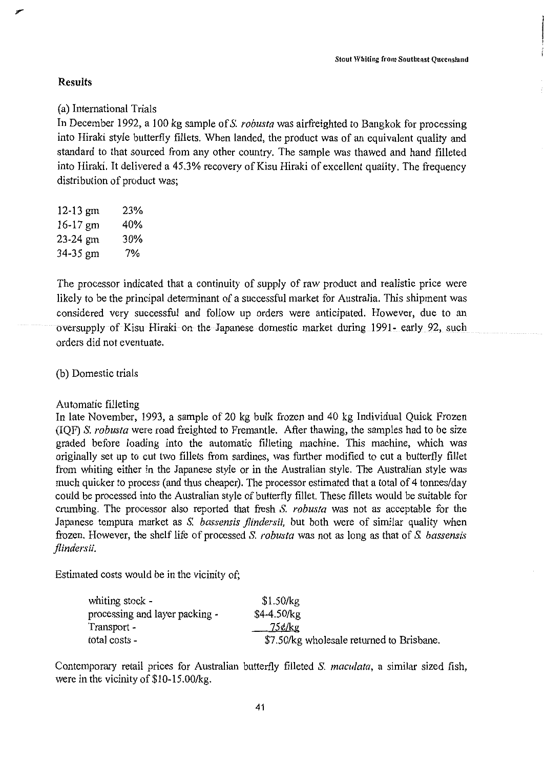# **Results**

(a) International Trials

In December 1992, a 100 kg sample of S. *robusta* was airfreighted to Bangkok for processing into Hiraki style butterfly fillets. When landed, the product was of an equivalent quality and standard to that sourced from any other country. The sample was thawed and hand filleted into Hiraki. It delivered a 45.3% recovery of Kisu Hiraki of excellent quality. The frequency distribution of product was;

12-13 gm 23% 16-17 gm 40% 23-24 gm 30% 34-35 gm 7%

The processor indicated that a continuity of supply of raw product and realistic price were likely to be the principal determinant of a successful market for Australia. This shipment was considered very successful and follow up orders were anticipated. However, due to an oversupply of Kisu Hiraki on the Japanese domestic market during 1991- early 92, such orders did not eventuate.

(b) Domestic trials

Automatic filleting

In late November, 1993, a sample of 20 kg bulk frozen and 40 kg Individual Quick Frozen (IQF) S. *robusta* were road freighted to Fremantle. After thawing, the samples had to be size graded before loading into the automatic filleting machine. This machine, which was originally set up to cut two fillets from sardines, was further modified to cut a butterfly fillet from whiting either in the Japanese style or in the Australian style. The Australian style was much quicker to process (and thus cheaper). The processor estimated that a total of 4 tonnes/day could be processed into the Australian style of butterfly fillet. These fillets would be suitable for crumbing. The processor also reported that fresh S. *robusta* was not as acceptable for the Japanese tempura market as S. *bassensis flindersii,* but both were of similar quality when frozen. However, the shelf life of processed S. *robusta* was not as long as that of S. *bassensis jlindersii.* 

Estimated costs would be in the vicinity of;

| whiting stock -                | \$1.50/kg                                 |
|--------------------------------|-------------------------------------------|
| processing and layer packing - | $$4-4.50/kg$                              |
| Transport -                    | $75$ ¢/kg                                 |
| total costs -                  | \$7.50/kg wholesale returned to Brisbane. |

Contemporary retail prices for Australian butterfly filleted S. *maculata,* a similar sized fish, were in the vicinity of  $$10-15.00/kg$ .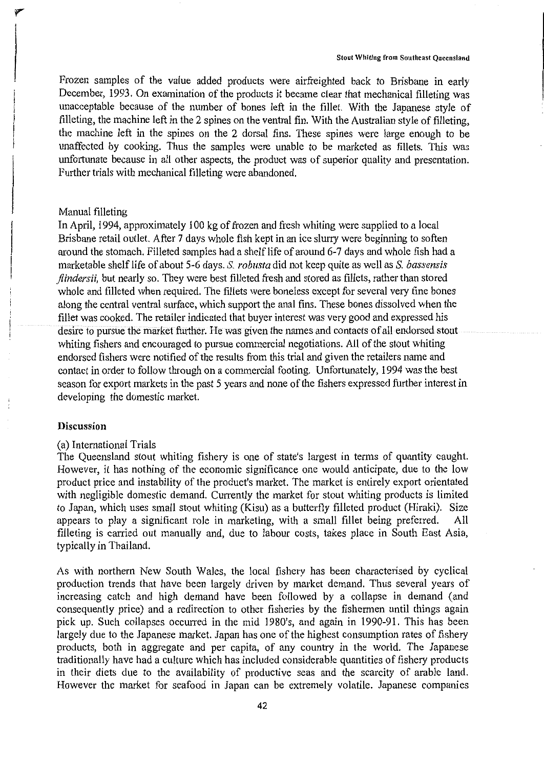Frozen samples of the value added products were airfreighted back to Brisbane in early December, 1993. On examination of the products it became clear that mechanical filleting was unacceptable because of the number of bones left in the fillet. With the Japanese style of filleting, the machine left in the 2 spines on the ventral fin. With the Australian style of filleting, the machine left in the spines on the 2 dorsal fins. These spines were large enough to be unaffected by cooking. Thus the samples were unable to be marketed as fillets. This was unfortunate because in all other aspects, the product was of superior quality and presentation. Further trials with mechanical filleting were abandoned.

# Manual filleting

In April, 1994, approximately 100 kg of frozen and fresh whiting were supplied to a local Brisbane retail outlet. After 7 days whole fish kept in an ice slurry were beginning to soften around the stomach. Filleted samples had a shelf life of around 6-7 days and whole fish had a marketable shelf life of about 5-6 days. S. *robusta* did not keep quite as well as S. *bassensis jlindersii,* but nearly so. They were best filleted fresh and stored as fillets, rather than stored whole and filleted when required. The fillets were boneless except for several very fine bones along the central ventral surface, which support the anal fins. These bones dissolved when the fillet was cooked. The retailer indicated that buyer interest was very good and expressed his desire to pursue the market further. He was given the names and contacts of all endorsed stout whiting fishers and encouraged to pursue commercial negotiations. All of the stout whiting endorsed fishers were notified of the results from this trial and given the retailers name and contact in order to follow through on a commercial footing. Unfortunately, 1994 was the best season for export markets in the past 5 years and none of the fishers expressed further interest in developing the domestic market.

# **Discussion**

#### (a) International Trials

The Queensland stout whiting fishery is one of state's largest in terms of quantity caught. However, it has nothing of the economic significance one would anticipate, due to the low product price and instability of the product's market. The market is entirely export orientated with negligible domestic demand. Currently the market for stout whiting products is limited to Japan, which uses small stout whiting (Kisu) as a butterfly filleted product (Hiraki). Size appears to play a significant role in marketing, with a small fillet being preferred. All filleting is carried out manually and, due to labour costs, takes place in South East Asia, typically in Thailand.

As with northern New South Wales, the local fishery has been characterised by cyclical production trends that have been largely driven by market demand. Thus several years of increasing catch and high demand have been followed by a collapse in demand (and consequently price) and a redirection to other fisheries by the fishermen until things again pick up. Such collapses occurred in the mid 1980's, and again in 1990-91. This has been largely due to the Japanese market. Japan has one of the highest consumption rates of fishery products, both in aggregate and per capita, of any country in the world. The Japanese traditionally have had a culture which has included considerable quantities of fishery products in their diets due to the availability of productive seas and the scarcity of arable land. However the market for seafood in Japan can be extremely volatile. Japanese companies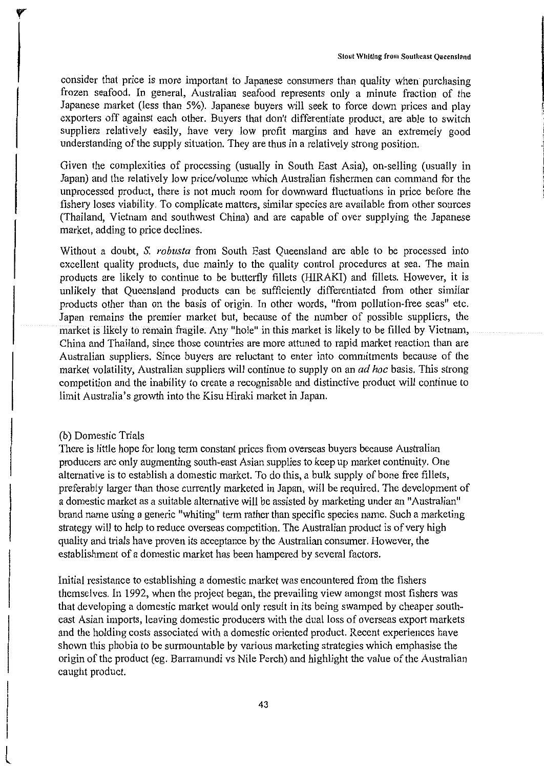consider that price is more important to Japanese consumers than quality when purchasing frozen seafood. In general, Australian seafood represents only a minute fraction of the Japanese market (less than 5%). Japanese buyers will seek to force down prices and play exporters off against each other. Buyers that don't differentiate product, are able to switch suppliers relatively easily, have very low profit margins and have an extremely good understanding of the supply situation. They are thus in a relatively strong position.

Given the complexities of processing (usually in South East Asia), on-selling (usually in Japan) and the relatively low price/volume which Australian fishermen can command for the unprocessed product, there is not much room for downward fluctuations in price before the fishery loses viability. To complicate matters, similar species are available from other sources (Thailand, Vietnam and southwest China) and are capable of over supplying the Japanese market, adding to price declines.

Without a doubt, S. *robusta* from South East Queensland are able to be processed into excellent quality products, due mainly to the quality control procedures at sea. The main products are likely to continue to be butterfly fillets (HIRAKI) and fillets. However, it is unlikely that Queensland products can be sufficiently differentiated from other similar products other than on the basis of origin. In other words, "from pollution-free seas" etc. Japan remains the premier market but, because of the number of possible suppliers, the market is likely to remain fragile. Any "hole" in this market is likely to be filled by Vietnam, China and Thailand, since those countries are more attuned to rapid market reaction than are Australian suppliers. Since buyers are reluctant to enter into commitments because of the market volatility, Australian suppliers will continue to supply on an *ad hoc* basis. This strong competition and the inability to create a recognisable and distinctive product will continue to limit Australia's growth into the Kisu Hiraki market in Japan.

#### (b) Domestic Trials

There is little hope for long term constant prices from overseas buyers because Australian producers are only augmenting south-east Asian supplies to keep up market continuity. One alternative is to establish a domestic market. To do this, a bulk supply of bone free fillets, preferably larger than those currently marketed in Japan, will be required. The development of a domestic market as a suitable alternative will be assisted by marketing under an "Australian" brand name using a generic "whiting" term rather than specific species name. Such a marketing strategy will to help to reduce overseas competition. The Australian product is of very high quality and trials have proven its acceptance by the Australian consumer. However, the establishment of a domestic market has been hampered by several factors.

Initial resistance to establishing a domestic market was encountered from the fishers themselves. In 1992, when the project began, the prevailing view amongst most fishers was that developing a domestic market would only result in its being swamped by cheaper southeast Asian imports, leaving domestic producers with the dual loss of overseas export markets and the holding costs associated with a domestic oriented product. Recent experiences have shown this phobia to be surmountable by various marketing strategies which emphasise the origin of the product (eg. Barramundi vs Nile Perch) and highlight the value of the Australian caught product.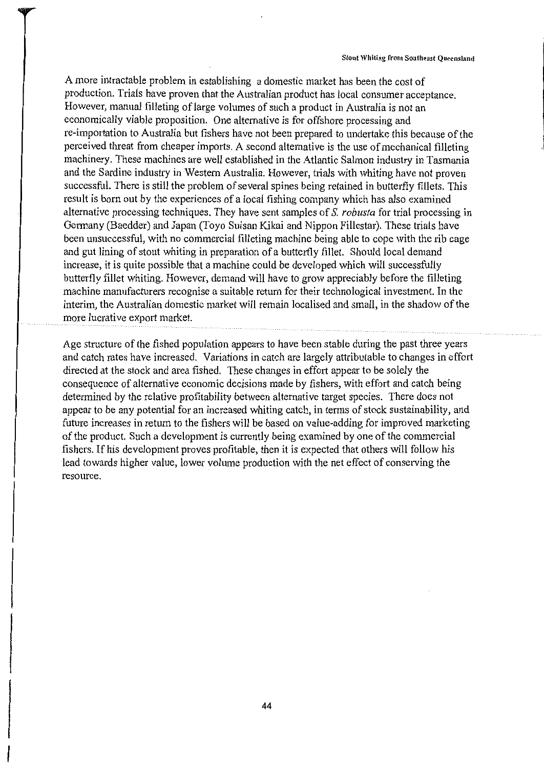A more intractable problem in establishing a domestic market has been the cost of production. Trials have proven that the Australian product has local consumer acceptance. However, manual filleting of large volumes of such a product in Australia is not an economically viable proposition. One alternative is for offshore processing and re-importation to Australia but fishers have not been prepared to undertake this because of the perceived threat from cheaper imports. A second alternative is the use of mechanical filleting machinery. These machines are well established in the Atlantic Salmon industry in Tasmania and the Sardine industry in Western Australia. However, trials with whiting have not proven successful. There is still the problem of several spines being retained in butterfly fillets. This result is born out by the experiences of a local fishing company which has also examined alternative processing techniques. They have sent samples of S. *robusta* for trial processing in Germany (Baedder) and Japan (Toyo Suisan Kikai and Nippon Fillestar). These trials have been unsuccessful, with no commercial filleting machine being able to cope with the rib cage and gut lining of stout whiting in preparation of a butterfly fillet. Should local demand increase, it is quite possible that a machine could be developed which will successfully butterfly fillet whiting. However, demand will have to grow appreciably before the filleting machine manufacturers recognise a suitable return for their technological investment. In the interim, the Australian domestic market will remain localised and small, in the shadow of the more lucrative export market.

Age structure of the fished population appears to have been stable during the past three years and catch rates have increased. Variations in catch are largely attributable to changes in effort directed at the stock and area fished. These changes in effort appear to be solely the consequence of alternative economic decisions made by fishers, with effort and catch being determined by the relative profitability between alternative target species. There does not appear to be any potential for an increased whiting catch, in terms of stock sustainability, and future increases in return to the fishers will be based on value-adding for improved marketing of the product. Such a development is currently being examined by one of the commercial fishers. If his development proves profitable, then it is expected that others will follow his lead towards higher value, lower volume production with the net effect of conserving the resource.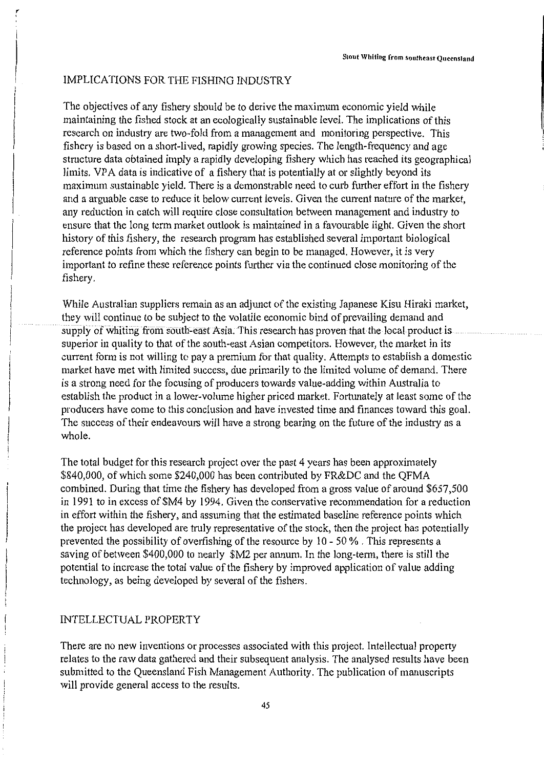# IMPLICATIONS FOR THE FISHING INDUSTRY

The objectives of any fishery should be to derive the maximum economic yield while maintaining the fished stock at an ecologically sustainable level. The implications of this research on industry are two-fold from a management and monitoring perspective. This fishery is based on a short-lived, rapidly growing species. The length-frequency and age strncture data obtained imply a rapidly developing fishery which has reached its geographical limits. VPA data is indicative of a fishery that is potentially at or slightly beyond its maximum sustainable yield. There is a demonstrable need to curb further effort in the fishery and a arguable case to reduce it below current levels. Given the current nature of the market, any reduction in catch will require close consultation between management and industry to ensure that the long term market outlook is maintained in a favourable light. Given the short history of this fishery, the research program has established several important biological reference points from which the fishery can begin to be managed. However, it is very important to refine these reference points further via the continued close monitoring of the fishery.

While Australian suppliers remain as an adjunct of the existing Japanese Kisu Hiraki market, they will continue to be subject to the volatile economic bind of prevailing demand and supply of whiting from south-east Asia. This research has proven that the local product is superior in quality to that of the south-east Asian competitors. However, the market in its current form is not willing to pay a premium for that quality. Attempts to establish a domestic market have met with limited success, due primarily to the limited volume of demand. There is a strong need for the focusing of producers towards value-adding within Australia to establish the product in a lower-volume higher priced market. Fortunately at least some of the producers have come to this conclusion and have invested time and finances toward this goal. The success of their endeavours will have a strong bearing on the future of the industry as a whole.

The total budget for this research project over the past 4 years has been approximately \$840,000, of which some \$240,000 has been contributed by FR&DC and the QFMA combined. During that time the fishery has developed from a gross value of around \$657,500 in 1991 to in excess of \$M4 by 1994. Given the conservative recommendation for a reduction in effort within the fishery, and assuming that the estimated baseline reference points which the project has developed are truly representative of the stock, then the project has potentially prevented the possibility of overfishing of the resource by 10 - 50 % . This represents a saving of between \$400,000 to nearly \$M2 per annum. In the long-term, there is still the potential to increase the total value of the fishery by improved application of value adding technology, as being developed by several of the fishers.

# INTELLECTUAL PROPERTY

There are no new inventions or processes associated with this project. Intellectual property relates to the raw data gathered and their subsequent analysis. The analysed results have been submitted to the Queensland Fish Management Authority. The publication of manuscripts will provide general access to the results.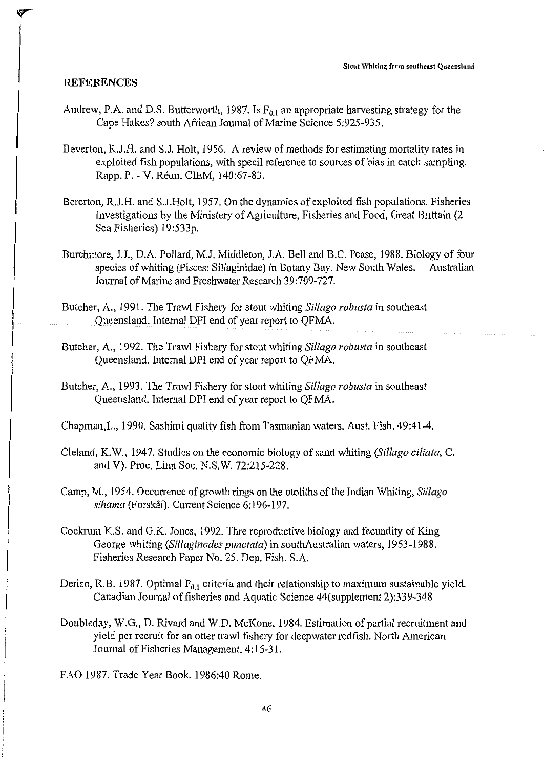# **REFERENCES**

- Andrew, P.A. and D.S. Butterworth, 1987. Is  $F_{0,1}$  an appropriate harvesting strategy for the Cape Hakes? south African Journal of Marine Science 5:925-935.
- Beverton, R.J.H. and S.J. Holt, 1956. A review of methods for estimating mortality rates in exploited fish populations, with specil reference to sources of bias in catch sampling. Rapp. P. - V. Reun. CIEM, 140:67-83.
- Bererton, R.J.H. and SJ.Holt, 1957. On the dynamics of exploited fish populations. Fisheries Investigations by the Ministery of Agriculture, Fisheries and Food, Great Brittain (2 Sea Fisheries) 19:533p.
- Burchmore, J.J., D.A. Pollard, M.J. Middleton, J.A. Bell and B.C. Pease, 1988. Biology of four species of whiting (Pisces: Sillaginidae) in Botany Bay, New South Wales. Australian Journal of Marine and Freshwater Research 39:709-727.
- Butcher, A., 1991. The Trawl Fishery for stout whiting *Si/lago robusta* in southeast Queensland. Internal DPI end of year report to QFMA.
- Butcher, A., 1992. The Trawl Fishery for stout whiting *Si/lago robusta* in southeast Queensland. Internal DPI end of year report to QFMA.
- Butcher, A., 1993. The Trawl Fishery for stout whiting *Sil/ago robusta* in southeast Queensland. Internal DPI end of year report to QFMA.
- Chapman,L., 1990. Sashimi quality fish from Tasmanian waters. Aust. Fish. 49:41-4.
- Cleland, K.W., 1947. Studies on the economic biology of sand whiting *(Sil/ago ciliata,* C. and V). Proc. Linn Soc. N.S.W. 72:215-228.
- Camp, M., 1954. Occurrence of growth rings on the otoliths of the Indian Whiting, *Sillago*  sihama (Forskål). Current Science 6:196-197.
- Cockrum K.S. and G.K. Jones, 1992. Thre reproductive biology and fecundity of King George whiting *(Sil/aginodes punctata)* in southAustralian waters, 1953-1988. Fisheries Research Paper No. 25. Dep. Fish. S.A.
- Deriso, R.B. 1987. Optimal  $F_{0,1}$  criteria and their relationship to maximum sustainable yield. Canadian Journal of fisheries and Aquatic Science 44(supplement 2):339-348
- Doubleday, W.G., D. Rivard and W.D. McKone, 1984. Estimation of partial recruitment and yield per recruit for an otter trawl fishery for deepwater redfish. North American Journal of Fisheries Management. 4: 15-31.
- FAO 1987. Trade Year Book. 1986:40 Rome.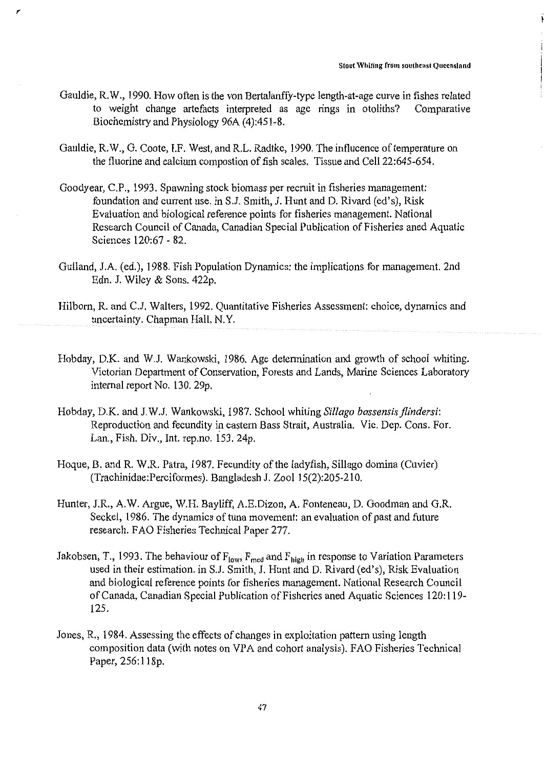- Gauldie, R.W., 1990. How often is the von Bertalanffy-type length-at-age curve in fishes related<br>to weight change artefacts interpreted as age rings in otoliths? Comparative to weight change artefacts interpreted as age rings in otoliths? Biochemistry and Physiology 96A (4):451-8.
- Gauldie, R.W., G. Coote, I.F. West, and R.L. Radtke, 1990. The influcence of temperature on the fluorine and calcium compostion of fish scales. Tissue and Cell 22:645-654.
- Goodyear, C.P., 1993. Spawning stock biomass per recruit in fisheries management: foundation and current use. in S.J. Smith, J. Hunt and D. Rivard (ed's), Risk Evaluation and biological reference points for fisheries management. National Research Council of Canada, Canadian Special Publication of Fisheries aned Aquatic Sciences 120:67 - 82.
- Gulland, J.A. (ed.), 1988. Fish Population Dynamics: the implications for management. 2nd Edn. J. Wiley & Sons. 422p.
- Hilborn, R. and C.J. Walters, 1992. Quantitative Fisheries Assessment: choice, dynamics and uncertainty. Chapman Hall, N.Y.
- Hobday, D.K. and W.J. Wankowski, 1986. Age determination and growth of school whiting. Victorian Department of Conservation, Forests and Lands, Marine Sciences Laboratory internal report No. 130. 29p.
- Hobday, D.K. and J.W.J. Wankowski, 1987. School whiting *Sil/ago bassensisflindersi:*  Reproduction and fecundity in eastern Bass Strait, Australia. Vic. Dep. Cons. For. Lan., Fish. Div., Int. rep.no. 153. 24p.
- Hoque, B. and R. W.R. Patra, 1987. Fecundity of the ladyfish, Sillago domina (Cuvier) (Trachinidae:Perciformes). Bangladesh J. Zool 15(2):205-210.
- Hunter, J.R., A.W. Argue, W.H. Bayliff, A.E.Dizon, A. Fonteneau, D. Goodman and G.R. Seckel, 1986. The dynamics of tuna movement: an evaluation of past and future research. F AO Fisheries Technical Paper 277.
- Jakobsen, T., 1993. The behaviour of  $F_{low}$ ,  $F_{med}$  and  $F_{high}$  in response to Variation Parameters used in their estimation. in S.J. Smith, J. Hunt and D. Rivard (ed's), Risk Evaluation and biological reference points for fisheries management. National Research Council of Canada, Canadian Special Publication of Fisheries aned Aquatic Sciences 120:119- 125.
- Jones, R., 1984. Assessing the effects of changes in exploitation pattern using length composition data (with notes on VPA and cohort analysis). FAO Fisheries Technical Paper, 256:118p.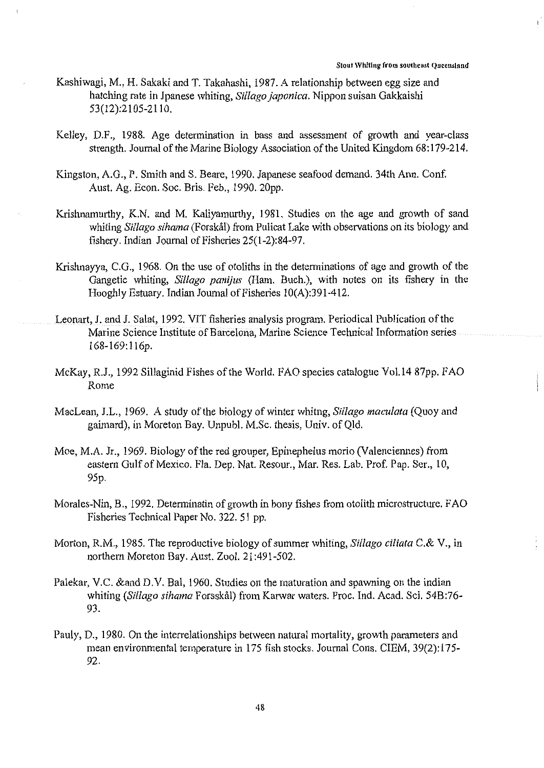- Kashiwagi, M., H. Sakaki and T. Takahashi, 1987. A relationship between egg size and hatching rate in Jpanese whiting, *Sil/ago japonica.* Nippon suisan Gakkaishi 53(12):2105-2110.
- Kelley, D.F., 1988. Age determination in bass and assessment of growth and year-class strength. Journal of the Marine Biology Association of the United Kingdom 68:179-214.
- Kingston, A.G., P. Smith and S. Beare, 1990. Japanese seafood demand. 34th Ann. Conf. Aust. Ag. Econ. Soc. Bris. Feb., 1990. 20pp.
- Krishnamurthy, K.N. and M. Kaliyamurthy, 1981. Studies on the age and growth of sand whiting *Sil/ago sihama* (Forskal) from Pulicat Lake with observations on its biology and fishery. Indian Journal of Fisheries 25(1-2):84-97.
- Krishnayya, C.G., 1968. On the use of otoliths in the determinations of age and growth of the Gangetic whiting, *Si/lago panijus* (Ham. Buch.), with notes on its fishery in the Hooghly Estuary. Indian Journal of Fisheries 10(A):391-412.
- Leonart, J. and J. Salat, 1992. VIT fisheries analysis program. Periodical Publication of the Marine Science Institute of Barcelona, Marine Science Technical Information series 168-169: 116p.
- McKay, R.J., 1992 Sillaginid Fishes of the World. FAO species catalogue Vol.14 87pp. FAO Rome
- MacLean, J.L., 1969. A study of the biology of winter whitng, *Sil/ago maculata* (Quoy and gaimard), in Moreton Bay. Unpubl. M.Sc. thesis, Univ. of Qld.
- Moe, M.A. Jr., 1969. Biology of the red grouper, Epinephelus morio (Valenciennes) from eastern Gulf of Mexico. Fla. Dep. Nat. Resour., Mar. Res. Lab. Prof. Pap. Ser., 10, 95p.
- Morales-Nin, B., 1992. Determinatin of growth in bony fishes from otolith microstructure. FAO Fisheries Technical Paper No. 322. 51 pp.
- Morton, R.M., 1985. The reproductive biology of summer whiting, *Sillago ciliata* C.& V., in northern Moreton Bay. Aust. Zoo!. 21:491-502.
- Palekar, V.C. &and D.V. Bal, 1960. Studies on the maturation and spawning on the indian whiting *(Sil/ago sihama* Forsskal) from Karwar waters. Proc. Ind. Acad. Sci. 54B:76- 93.
- Pauly, D., 1980. On the interrelationships between natural mortality, growth parameters and mean environmental temperature in 175 fish stocks. Journal Cons. CIEM, 39(2): 175- 92.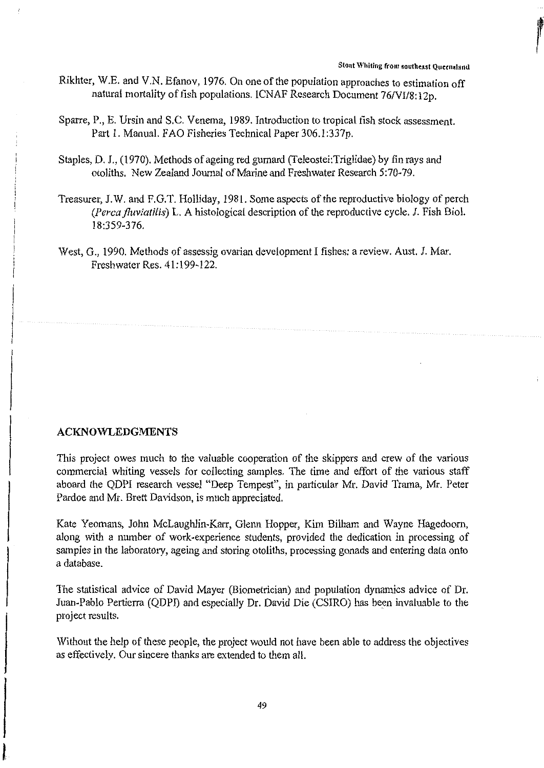- Rikhter, W.E. and V.N. Efanov, 1976. On one of the population approaches to estimation off natural mortality of fish populations. ICNAF Research Document 76/VI/8:12p.
- Sparre, P., E. Ursin and S.C. Venema, 1989. Introduction to tropical fish stock assessment. Part 1. Manual. FAO Fisheries Technical Paper 306.1:337p.
- Staples, D. J., (1970). Methods of ageing red gurnard (Teleostei:Triglidae) by fin rays and otoliths. New Zealand Journal of Marine and Freshwater Research 5:70-79.
- Treasurer, J.W. and F.G.T. Holliday, 1981. Some aspects of the reproductive biology of perch *(Perca fluviatilis)* L. A histological description of the reproductive cycle. J. Fish Biol. 18:359-376.
- West, G., 1990. Methods of assessig ovarian development I fishes: a review. Aust. J. Mar. Freshwater Res. 41: 199-122.

# **ACKNOWLEDGMENTS**

This project owes much to the valuable cooperation of the skippers and crew of the various commercial whiting vessels for collecting samples. The time and effort of the various staff aboard the QDPI research vessel "Deep Tempest", in particular Mr. David Trama, Mr. Peter Pardoe and Mr. Brett Davidson, is much appreciated.

Kate Yeomans, John McLaughlin-Karr, Glenn Hopper, Kim Bilham and Wayne Hagedoom, along with a number of work-experience students, provided the dedication in processing of samples in the laboratory, ageing and storing otoliths, processing gonads and entering data onto a database.

The statistical advice of David Mayer (Biometrician) and population dynamics advice of Dr. Juan-Pablo Pertierra (QDPI) and especially Dr. David Die (CSIRO) has been invaluable to the project results.

Without the help of these people, the project would not have been able to address the objectives as effectively. Our sincere thanks are extended to them all.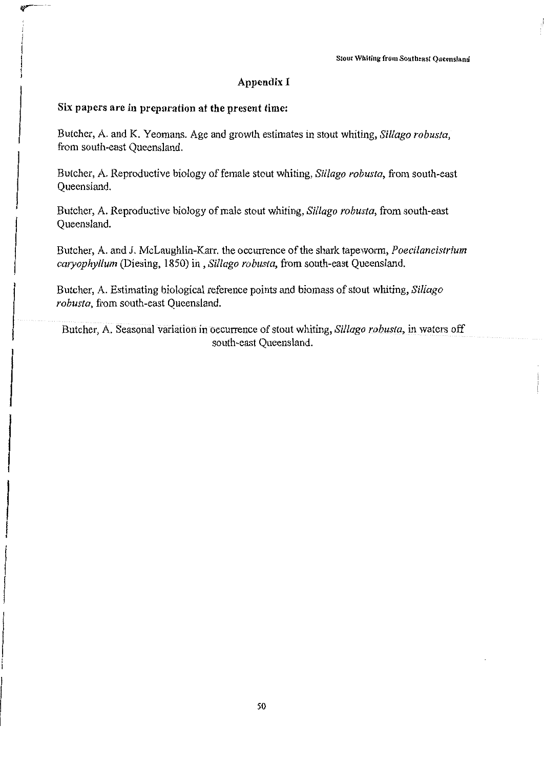# **Appendix I**

# **Six papers are in preparation at the present time:**

Butcher, A. and K. Yeomans. Age and growth estimates in stout whiting, *Sil/ago robusta,*  from south-east Queensland.

Butcher, A. Reproductive biology of female stout whiting, *Sillago robusta,* from south-east Queensland.

Butcher, A. Reproductive biology of male stout whiting, *Si/Iago robusta,* from south-east Queensland.

Butcher, A. and J. McLaughlin-Karr. the occurrence of the shark tapeworm, *Poecilancistrium cmyophyllum* (Diesing, 1850) in , *Sil/ago robusta,* from south-east Queensland.

Butcher, A. Estimating biological reference points and biomass of stout whiting, *Si/lago robusta,* from south-east Queensland.

Butcher, A. Seasonal variation in occurrence of stout whiting, *Sillago robusta,* in waters off south-east Queensland.